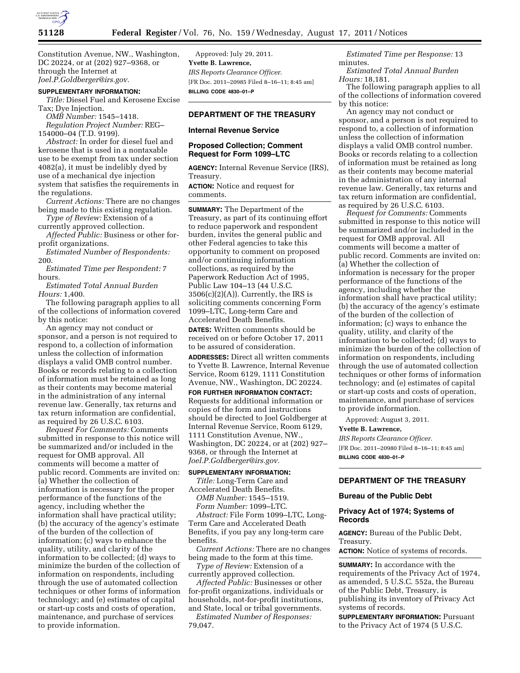

Constitution Avenue, NW., Washington, DC 20224, or at (202) 927–9368, or through the Internet at *[Joel.P.Goldberger@irs.gov.](mailto:Joel.P.Goldberger@irs.gov)* 

## **SUPPLEMENTARY INFORMATION:**

*Title:* Diesel Fuel and Kerosene Excise Tax; Dye Injection.

*OMB Number:* 1545–1418.

*Regulation Project Number:* REG– 154000–04 (T.D. 9199).

*Abstract:* In order for diesel fuel and kerosene that is used in a nontaxable use to be exempt from tax under section 4082(a), it must be indelibly dyed by use of a mechanical dye injection system that satisfies the requirements in the regulations.

*Current Actions:* There are no changes being made to this existing regulation.

*Type of Review:* Extension of a currently approved collection.

*Affected Public:* Business or other forprofit organizations.

*Estimated Number of Respondents:*  200.

*Estimated Time per Respondent:* 7 hours.

*Estimated Total Annual Burden Hours:* 1,400.

The following paragraph applies to all of the collections of information covered by this notice:

An agency may not conduct or sponsor, and a person is not required to respond to, a collection of information unless the collection of information displays a valid OMB control number. Books or records relating to a collection of information must be retained as long as their contents may become material in the administration of any internal revenue law. Generally, tax returns and tax return information are confidential, as required by 26 U.S.C. 6103.

*Request For Comments:* Comments submitted in response to this notice will be summarized and/or included in the request for OMB approval. All comments will become a matter of public record. Comments are invited on: (a) Whether the collection of information is necessary for the proper performance of the functions of the agency, including whether the information shall have practical utility; (b) the accuracy of the agency's estimate of the burden of the collection of information; (c) ways to enhance the quality, utility, and clarity of the information to be collected; (d) ways to minimize the burden of the collection of information on respondents, including through the use of automated collection techniques or other forms of information technology; and (e) estimates of capital or start-up costs and costs of operation, maintenance, and purchase of services to provide information.

Approved: July 29, 2011. **Yvette B. Lawrence,**  *IRS Reports Clearance Officer.*  [FR Doc. 2011–20985 Filed 8–16–11; 8:45 am] **BILLING CODE 4830–01–P** 

# **DEPARTMENT OF THE TREASURY**

# **Internal Revenue Service**

# **Proposed Collection; Comment Request for Form 1099–LTC**

**AGENCY:** Internal Revenue Service (IRS), Treasury.

**ACTION:** Notice and request for comments.

**SUMMARY:** The Department of the Treasury, as part of its continuing effort to reduce paperwork and respondent burden, invites the general public and other Federal agencies to take this opportunity to comment on proposed and/or continuing information collections, as required by the Paperwork Reduction Act of 1995, Public Law 104–13 (44 U.S.C.  $3506(c)(2)(A)$ ). Currently, the IRS is soliciting comments concerning Form 1099–LTC, Long-term Care and Accelerated Death Benefits.

**DATES:** Written comments should be received on or before October 17, 2011 to be assured of consideration.

**ADDRESSES:** Direct all written comments to Yvette B. Lawrence, Internal Revenue Service, Room 6129, 1111 Constitution Avenue, NW., Washington, DC 20224.

**FOR FURTHER INFORMATION CONTACT:**  Requests for additional information or copies of the form and instructions should be directed to Joel Goldberger at Internal Revenue Service, Room 6129, 1111 Constitution Avenue, NW., Washington, DC 20224, or at (202) 927– 9368, or through the Internet at *[Joel.P.Goldberger@irs.gov.](mailto:Joel.P.Goldberger@irs.gov)* 

## **SUPPLEMENTARY INFORMATION:**

*Title:* Long-Term Care and Accelerated Death Benefits.

*OMB Number:* 1545–1519. *Form Number:* 1099–LTC.

*Abstract:* File Form 1099–LTC, Long-Term Care and Accelerated Death Benefits, if you pay any long-term care benefits.

*Current Actions:* There are no changes being made to the form at this time.

*Type of Review:* Extension of a currently approved collection.

*Affected Public:* Businesses or other for-profit organizations, individuals or households, not-for-profit institutions, and State, local or tribal governments.

*Estimated Number of Responses:*  79,047.

*Estimated Time per Response:* 13 minutes.

*Estimated Total Annual Burden Hours:* 18,181.

The following paragraph applies to all of the collections of information covered by this notice:

An agency may not conduct or sponsor, and a person is not required to respond to, a collection of information unless the collection of information displays a valid OMB control number. Books or records relating to a collection of information must be retained as long as their contents may become material in the administration of any internal revenue law. Generally, tax returns and tax return information are confidential, as required by 26 U.S.C. 6103.

*Request for Comments:* Comments submitted in response to this notice will be summarized and/or included in the request for OMB approval. All comments will become a matter of public record. Comments are invited on: (a) Whether the collection of information is necessary for the proper performance of the functions of the agency, including whether the information shall have practical utility; (b) the accuracy of the agency's estimate of the burden of the collection of information; (c) ways to enhance the quality, utility, and clarity of the information to be collected; (d) ways to minimize the burden of the collection of information on respondents, including through the use of automated collection techniques or other forms of information technology; and (e) estimates of capital or start-up costs and costs of operation, maintenance, and purchase of services to provide information.

Approved: August 3, 2011.

**Yvette B. Lawrence,** 

*IRS Reports Clearance Officer.*  [FR Doc. 2011–20980 Filed 8–16–11; 8:45 am] **BILLING CODE 4830–01–P** 

# **DEPARTMENT OF THE TREASURY**

# **Bureau of the Public Debt**

# **Privacy Act of 1974; Systems of Records**

**AGENCY:** Bureau of the Public Debt, Treasury.

**ACTION:** Notice of systems of records.

**SUMMARY:** In accordance with the requirements of the Privacy Act of 1974, as amended, 5 U.S.C. 552a, the Bureau of the Public Debt, Treasury, is publishing its inventory of Privacy Act systems of records.

**SUPPLEMENTARY INFORMATION: Pursuant** to the Privacy Act of 1974 (5 U.S.C.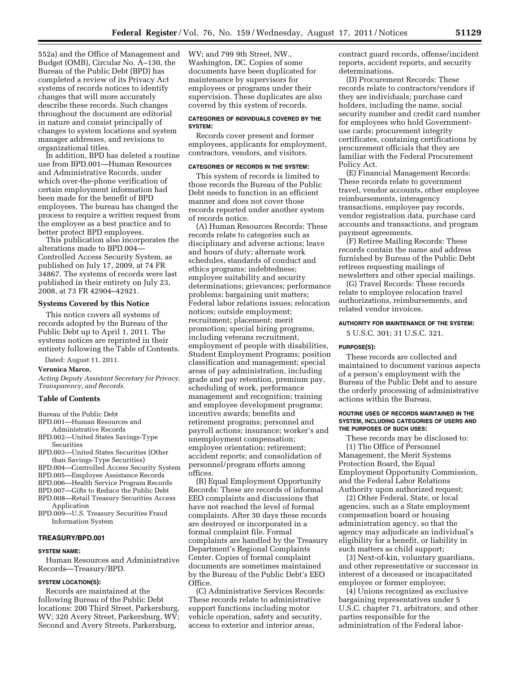552a) and the Office of Management and Budget (OMB), Circular No. A–130, the Bureau of the Public Debt (BPD) has completed a review of its Privacy Act systems of records notices to identify changes that will more accurately describe these records. Such changes throughout the document are editorial in nature and consist principally of changes to system locations and system manager addresses, and revisions to organizational titles.

In addition, BPD has deleted a routine use from BPD.001—Human Resources and Administrative Records, under which over-the-phone verification of certain employment information had been made for the benefit of BPD employees. The bureau has changed the process to require a written request from the employee as a best practice and to better protect BPD employees.

This publication also incorporates the alterations made to BPD.004— Controlled Access Security System, as published on July 17, 2009, at 74 FR 34867. The systems of records were last published in their entirety on July 23, 2008, at 73 FR 42904–42921.

#### **Systems Covered by this Notice**

This notice covers all systems of records adopted by the Bureau of the Public Debt up to April 1, 2011. The systems notices are reprinted in their entirety following the Table of Contents.

Dated: August 11, 2011.

#### **Veronica Marco,**

*Acting Deputy Assistant Secretary for Privacy, Transparency, and Records.* 

## **Table of Contents**

Bureau of the Public Debt

- BPD.001—Human Resources and Administrative Records
- BPD.002—United States Savings-Type Securities
- BPD.003—United States Securities (Other than Savings-Type Securities)
- BPD.004—Controlled Access Security System
- BPD.005—Employee Assistance Records
- BPD.006—Health Service Program Records
- BPD.007—Gifts to Reduce the Public Debt
- BPD.008—Retail Treasury Securities Access Application
- BPD.009—U.S. Treasury Securities Fraud Information System

## **TREASURY/BPD.001**

## **SYSTEM NAME:**

Human Resources and Administrative Records—Treasury/BPD.

#### **SYSTEM LOCATION(S):**

Records are maintained at the following Bureau of the Public Debt locations: 200 Third Street, Parkersburg, WV; 320 Avery Street, Parkersburg, WV; Second and Avery Streets, Parkersburg,

WV; and 799 9th Street, NW., Washington, DC. Copies of some documents have been duplicated for maintenance by supervisors for employees or programs under their supervision. These duplicates are also covered by this system of records.

## **CATEGORIES OF INDIVIDUALS COVERED BY THE SYSTEM:**

Records cover present and former employees, applicants for employment, contractors, vendors, and visitors.

# **CATEGORIES OF RECORDS IN THE SYSTEM:**

This system of records is limited to those records the Bureau of the Public Debt needs to function in an efficient manner and does not cover those records reported under another system of records notice.

(A) Human Resources Records: These records relate to categories such as disciplinary and adverse actions; leave and hours of duty; alternate work schedules, standards of conduct and ethics programs; indebtedness; employee suitability and security determinations; grievances; performance problems; bargaining unit matters; Federal labor relations issues; relocation notices; outside employment; recruitment; placement; merit promotion; special hiring programs, including veterans recruitment, employment of people with disabilities, Student Employment Programs; position classification and management; special areas of pay administration, including grade and pay retention, premium pay, scheduling of work, performance management and recognition; training and employee development programs; incentive awards; benefits and retirement programs; personnel and payroll actions; insurance; worker's and unemployment compensation; employee orientation; retirement; accident reports; and consolidation of personnel/program efforts among offices.

(B) Equal Employment Opportunity Records: These are records of informal EEO complaints and discussions that have not reached the level of formal complaints. After 30 days these records are destroyed or incorporated in a formal complaint file. Formal complaints are handled by the Treasury Department's Regional Complaints Center. Copies of formal complaint documents are sometimes maintained by the Bureau of the Public Debt's EEO Office.

(C) Administrative Services Records: These records relate to administrative support functions including motor vehicle operation, safety and security, access to exterior and interior areas,

contract guard records, offense/incident reports, accident reports, and security determinations.

(D) Procurement Records: These records relate to contractors/vendors if they are individuals; purchase card holders, including the name, social security number and credit card number for employees who hold Governmentuse cards; procurement integrity certificates, containing certifications by procurement officials that they are familiar with the Federal Procurement Policy Act.

(E) Financial Management Records: These records relate to government travel, vendor accounts, other employee reimbursements, interagency transactions, employee pay records, vendor registration data, purchase card accounts and transactions, and program payment agreements.

(F) Retiree Mailing Records: These records contain the name and address furnished by Bureau of the Public Debt retirees requesting mailings of newsletters and other special mailings.

(G) Travel Records: These records relate to employee relocation travel authorizations, reimbursements, and related vendor invoices.

#### **AUTHORITY FOR MAINTENANCE OF THE SYSTEM:**

5 U.S.C. 301; 31 U.S.C. 321.

#### **PURPOSE(S):**

These records are collected and maintained to document various aspects of a person's employment with the Bureau of the Public Debt and to assure the orderly processing of administrative actions within the Bureau.

## **ROUTINE USES OF RECORDS MAINTAINED IN THE SYSTEM, INCLUDING CATEGORIES OF USERS AND THE PURPOSES OF SUCH USES:**

These records may be disclosed to: (1) The Office of Personnel Management, the Merit Systems Protection Board, the Equal Employment Opportunity Commission, and the Federal Labor Relations Authority upon authorized request;

(2) Other Federal, State, or local agencies, such as a State employment compensation board or housing administration agency, so that the agency may adjudicate an individual's eligibility for a benefit, or liability in such matters as child support;

(3) Next-of-kin, voluntary guardians, and other representative or successor in interest of a deceased or incapacitated employee or former employee;

(4) Unions recognized as exclusive bargaining representatives under 5 U.S.C. chapter 71, arbitrators, and other parties responsible for the administration of the Federal labor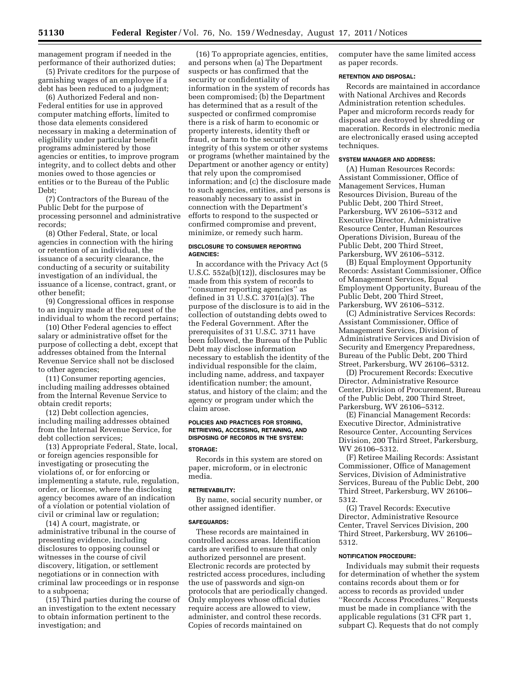management program if needed in the performance of their authorized duties;

(5) Private creditors for the purpose of garnishing wages of an employee if a debt has been reduced to a judgment;

(6) Authorized Federal and non-Federal entities for use in approved computer matching efforts, limited to those data elements considered necessary in making a determination of eligibility under particular benefit programs administered by those agencies or entities, to improve program integrity, and to collect debts and other monies owed to those agencies or entities or to the Bureau of the Public Debt;

(7) Contractors of the Bureau of the Public Debt for the purpose of processing personnel and administrative records;

(8) Other Federal, State, or local agencies in connection with the hiring or retention of an individual, the issuance of a security clearance, the conducting of a security or suitability investigation of an individual, the issuance of a license, contract, grant, or other benefit;

(9) Congressional offices in response to an inquiry made at the request of the individual to whom the record pertains;

(10) Other Federal agencies to effect salary or administrative offset for the purpose of collecting a debt, except that addresses obtained from the Internal Revenue Service shall not be disclosed to other agencies;

(11) Consumer reporting agencies, including mailing addresses obtained from the Internal Revenue Service to obtain credit reports;

(12) Debt collection agencies, including mailing addresses obtained from the Internal Revenue Service, for debt collection services;

(13) Appropriate Federal, State, local, or foreign agencies responsible for investigating or prosecuting the violations of, or for enforcing or implementing a statute, rule, regulation, order, or license, where the disclosing agency becomes aware of an indication of a violation or potential violation of civil or criminal law or regulation;

(14) A court, magistrate, or administrative tribunal in the course of presenting evidence, including disclosures to opposing counsel or witnesses in the course of civil discovery, litigation, or settlement negotiations or in connection with criminal law proceedings or in response to a subpoena;

(15) Third parties during the course of an investigation to the extent necessary to obtain information pertinent to the investigation; and

(16) To appropriate agencies, entities, and persons when (a) The Department suspects or has confirmed that the security or confidentiality of information in the system of records has been compromised; (b) the Department has determined that as a result of the suspected or confirmed compromise there is a risk of harm to economic or property interests, identity theft or fraud, or harm to the security or integrity of this system or other systems or programs (whether maintained by the Department or another agency or entity) that rely upon the compromised information; and (c) the disclosure made to such agencies, entities, and persons is reasonably necessary to assist in connection with the Department's efforts to respond to the suspected or confirmed compromise and prevent, minimize, or remedy such harm.

## **DISCLOSURE TO CONSUMER REPORTING AGENCIES:**

In accordance with the Privacy Act (5 U.S.C. 552a(b)(12)), disclosures may be made from this system of records to ''consumer reporting agencies'' as defined in 31 U.S.C. 3701(a)(3). The purpose of the disclosure is to aid in the collection of outstanding debts owed to the Federal Government. After the prerequisites of 31 U.S.C. 3711 have been followed, the Bureau of the Public Debt may disclose information necessary to establish the identity of the individual responsible for the claim, including name, address, and taxpayer identification number; the amount, status, and history of the claim; and the agency or program under which the claim arose.

# **POLICIES AND PRACTICES FOR STORING, RETRIEVING, ACCESSING, RETAINING, AND DISPOSING OF RECORDS IN THE SYSTEM:**

#### **STORAGE:**

Records in this system are stored on paper, microform, or in electronic media.

#### **RETRIEVABILITY:**

By name, social security number, or other assigned identifier.

#### **SAFEGUARDS:**

These records are maintained in controlled access areas. Identification cards are verified to ensure that only authorized personnel are present. Electronic records are protected by restricted access procedures, including the use of passwords and sign-on protocols that are periodically changed. Only employees whose official duties require access are allowed to view, administer, and control these records. Copies of records maintained on

computer have the same limited access as paper records.

## **RETENTION AND DISPOSAL:**

Records are maintained in accordance with National Archives and Records Administration retention schedules. Paper and microform records ready for disposal are destroyed by shredding or maceration. Records in electronic media are electronically erased using accepted techniques.

## **SYSTEM MANAGER AND ADDRESS:**

(A) Human Resources Records: Assistant Commissioner, Office of Management Services, Human Resources Division, Bureau of the Public Debt, 200 Third Street, Parkersburg, WV 26106–5312 and Executive Director, Administrative Resource Center, Human Resources Operations Division, Bureau of the Public Debt, 200 Third Street, Parkersburg, WV 26106–5312.

(B) Equal Employment Opportunity Records: Assistant Commissioner, Office of Management Services, Equal Employment Opportunity, Bureau of the Public Debt, 200 Third Street, Parkersburg, WV 26106–5312.

(C) Administrative Services Records: Assistant Commissioner, Office of Management Services, Division of Administrative Services and Division of Security and Emergency Preparedness, Bureau of the Public Debt, 200 Third Street, Parkersburg, WV 26106–5312.

(D) Procurement Records: Executive Director, Administrative Resource Center, Division of Procurement, Bureau of the Public Debt, 200 Third Street, Parkersburg, WV 26106–5312.

(E) Financial Management Records: Executive Director, Administrative Resource Center, Accounting Services Division, 200 Third Street, Parkersburg, WV 26106–5312.

(F) Retiree Mailing Records: Assistant Commissioner, Office of Management Services, Division of Administrative Services, Bureau of the Public Debt, 200 Third Street, Parkersburg, WV 26106– 5312.

(G) Travel Records: Executive Director, Administrative Resource Center, Travel Services Division, 200 Third Street, Parkersburg, WV 26106– 5312.

#### **NOTIFICATION PROCEDURE:**

Individuals may submit their requests for determination of whether the system contains records about them or for access to records as provided under ''Records Access Procedures.'' Requests must be made in compliance with the applicable regulations (31 CFR part 1, subpart C). Requests that do not comply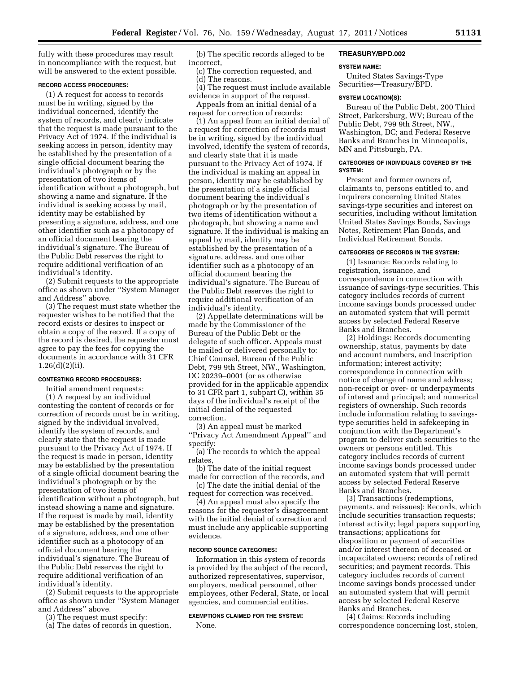fully with these procedures may result in noncompliance with the request, but will be answered to the extent possible.

## **RECORD ACCESS PROCEDURES:**

(1) A request for access to records must be in writing, signed by the individual concerned, identify the system of records, and clearly indicate that the request is made pursuant to the Privacy Act of 1974. If the individual is seeking access in person, identity may be established by the presentation of a single official document bearing the individual's photograph or by the presentation of two items of identification without a photograph, but showing a name and signature. If the individual is seeking access by mail, identity may be established by presenting a signature, address, and one other identifier such as a photocopy of an official document bearing the individual's signature. The Bureau of the Public Debt reserves the right to require additional verification of an individual's identity.

(2) Submit requests to the appropriate office as shown under ''System Manager and Address'' above.

(3) The request must state whether the requester wishes to be notified that the record exists or desires to inspect or obtain a copy of the record. If a copy of the record is desired, the requester must agree to pay the fees for copying the documents in accordance with 31 CFR 1.26(d)(2)(ii).

## **CONTESTING RECORD PROCEDURES:**

Initial amendment requests:

(1) A request by an individual contesting the content of records or for correction of records must be in writing, signed by the individual involved, identify the system of records, and clearly state that the request is made pursuant to the Privacy Act of 1974. If the request is made in person, identity may be established by the presentation of a single official document bearing the individual's photograph or by the presentation of two items of identification without a photograph, but instead showing a name and signature. If the request is made by mail, identity may be established by the presentation of a signature, address, and one other identifier such as a photocopy of an official document bearing the individual's signature. The Bureau of the Public Debt reserves the right to require additional verification of an individual's identity.

(2) Submit requests to the appropriate office as shown under ''System Manager and Address'' above.

(3) The request must specify:

(a) The dates of records in question,

(b) The specific records alleged to be incorrect,

- (c) The correction requested, and
- (d) The reasons.

(4) The request must include available evidence in support of the request.

Appeals from an initial denial of a request for correction of records:

(1) An appeal from an initial denial of a request for correction of records must be in writing, signed by the individual involved, identify the system of records, and clearly state that it is made pursuant to the Privacy Act of 1974. If the individual is making an appeal in person, identity may be established by the presentation of a single official document bearing the individual's photograph or by the presentation of two items of identification without a photograph, but showing a name and signature. If the individual is making an appeal by mail, identity may be established by the presentation of a signature, address, and one other identifier such as a photocopy of an official document bearing the individual's signature. The Bureau of the Public Debt reserves the right to require additional verification of an individual's identity.

(2) Appellate determinations will be made by the Commissioner of the Bureau of the Public Debt or the delegate of such officer. Appeals must be mailed or delivered personally to: Chief Counsel, Bureau of the Public Debt, 799 9th Street, NW., Washington, DC 20239–0001 (or as otherwise provided for in the applicable appendix to 31 CFR part 1, subpart C), within 35 days of the individual's receipt of the initial denial of the requested correction.

(3) An appeal must be marked ''Privacy Act Amendment Appeal'' and specify:

(a) The records to which the appeal relates,

(b) The date of the initial request made for correction of the records, and (c) The date the initial denial of the

request for correction was received.

(4) An appeal must also specify the reasons for the requester's disagreement with the initial denial of correction and must include any applicable supporting evidence.

#### **RECORD SOURCE CATEGORIES:**

Information in this system of records is provided by the subject of the record, authorized representatives, supervisor, employers, medical personnel, other employees, other Federal, State, or local agencies, and commercial entities.

# **EXEMPTIONS CLAIMED FOR THE SYSTEM:**  None.

#### **TREASURY/BPD.002**

#### **SYSTEM NAME:**

United States Savings-Type Securities—Treasury/BPD.

#### **SYSTEM LOCATION(S):**

Bureau of the Public Debt, 200 Third Street, Parkersburg, WV; Bureau of the Public Debt, 799 9th Street, NW., Washington, DC; and Federal Reserve Banks and Branches in Minneapolis, MN and Pittsburgh, PA.

## **CATEGORIES OF INDIVIDUALS COVERED BY THE SYSTEM:**

Present and former owners of, claimants to, persons entitled to, and inquirers concerning United States savings-type securities and interest on securities, including without limitation United States Savings Bonds, Savings Notes, Retirement Plan Bonds, and Individual Retirement Bonds.

#### **CATEGORIES OF RECORDS IN THE SYSTEM:**

(1) Issuance: Records relating to registration, issuance, and correspondence in connection with issuance of savings-type securities. This category includes records of current income savings bonds processed under an automated system that will permit access by selected Federal Reserve Banks and Branches.

(2) Holdings: Records documenting ownership, status, payments by date and account numbers, and inscription information; interest activity; correspondence in connection with notice of change of name and address; non-receipt or over- or underpayments of interest and principal; and numerical registers of ownership. Such records include information relating to savingstype securities held in safekeeping in conjunction with the Department's program to deliver such securities to the owners or persons entitled. This category includes records of current income savings bonds processed under an automated system that will permit access by selected Federal Reserve Banks and Branches.

(3) Transactions (redemptions, payments, and reissues): Records, which include securities transaction requests; interest activity; legal papers supporting transactions; applications for disposition or payment of securities and/or interest thereon of deceased or incapacitated owners; records of retired securities; and payment records. This category includes records of current income savings bonds processed under an automated system that will permit access by selected Federal Reserve Banks and Branches.

(4) Claims: Records including correspondence concerning lost, stolen,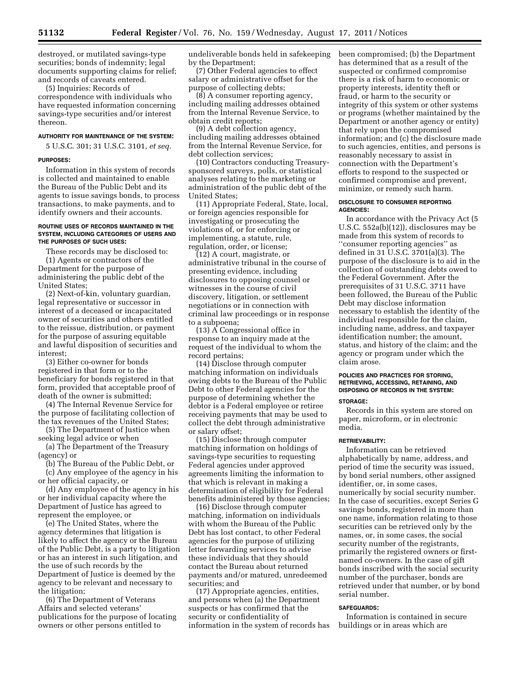destroyed, or mutilated savings-type securities; bonds of indemnity; legal documents supporting claims for relief; and records of caveats entered.

(5) Inquiries: Records of correspondence with individuals who have requested information concerning savings-type securities and/or interest thereon.

#### **AUTHORITY FOR MAINTENANCE OF THE SYSTEM:**

5 U.S.C. 301; 31 U.S.C. 3101, *et seq.* 

#### **PURPOSES:**

Information in this system of records is collected and maintained to enable the Bureau of the Public Debt and its agents to issue savings bonds, to process transactions, to make payments, and to identify owners and their accounts.

#### **ROUTINE USES OF RECORDS MAINTAINED IN THE SYSTEM, INCLUDING CATEGORIES OF USERS AND THE PURPOSES OF SUCH USES:**

These records may be disclosed to: (1) Agents or contractors of the Department for the purpose of administering the public debt of the United States;

(2) Next-of-kin, voluntary guardian, legal representative or successor in interest of a deceased or incapacitated owner of securities and others entitled to the reissue, distribution, or payment for the purpose of assuring equitable and lawful disposition of securities and interest;

(3) Either co-owner for bonds registered in that form or to the beneficiary for bonds registered in that form, provided that acceptable proof of death of the owner is submitted;

(4) The Internal Revenue Service for the purpose of facilitating collection of the tax revenues of the United States;

(5) The Department of Justice when seeking legal advice or when

(a) The Department of the Treasury (agency) or

(b) The Bureau of the Public Debt, or

(c) Any employee of the agency in his or her official capacity, or

(d) Any employee of the agency in his or her individual capacity where the Department of Justice has agreed to represent the employee, or

(e) The United States, where the agency determines that litigation is likely to affect the agency or the Bureau of the Public Debt, is a party to litigation or has an interest in such litigation, and the use of such records by the Department of Justice is deemed by the agency to be relevant and necessary to the litigation;

(6) The Department of Veterans Affairs and selected veterans' publications for the purpose of locating owners or other persons entitled to

undeliverable bonds held in safekeeping by the Department;

(7) Other Federal agencies to effect salary or administrative offset for the purpose of collecting debts;

(8) A consumer reporting agency, including mailing addresses obtained from the Internal Revenue Service, to obtain credit reports;

(9) A debt collection agency, including mailing addresses obtained from the Internal Revenue Service, for debt collection services;

(10) Contractors conducting Treasurysponsored surveys, polls, or statistical analyses relating to the marketing or administration of the public debt of the United States;

(11) Appropriate Federal, State, local, or foreign agencies responsible for investigating or prosecuting the violations of, or for enforcing or implementing, a statute, rule, regulation, order, or license;

(12) A court, magistrate, or administrative tribunal in the course of presenting evidence, including disclosures to opposing counsel or witnesses in the course of civil discovery, litigation, or settlement negotiations or in connection with criminal law proceedings or in response to a subpoena;

(13) A Congressional office in response to an inquiry made at the request of the individual to whom the record pertains;

(14) Disclose through computer matching information on individuals owing debts to the Bureau of the Public Debt to other Federal agencies for the purpose of determining whether the debtor is a Federal employee or retiree receiving payments that may be used to collect the debt through administrative or salary offset;

(15) Disclose through computer matching information on holdings of savings-type securities to requesting Federal agencies under approved agreements limiting the information to that which is relevant in making a determination of eligibility for Federal benefits administered by those agencies;

(16) Disclose through computer matching, information on individuals with whom the Bureau of the Public Debt has lost contact, to other Federal agencies for the purpose of utilizing letter forwarding services to advise these individuals that they should contact the Bureau about returned payments and/or matured, unredeemed securities; and

(17) Appropriate agencies, entities, and persons when (a) the Department suspects or has confirmed that the security or confidentiality of information in the system of records has been compromised; (b) the Department has determined that as a result of the suspected or confirmed compromise there is a risk of harm to economic or property interests, identity theft or fraud, or harm to the security or integrity of this system or other systems or programs (whether maintained by the Department or another agency or entity) that rely upon the compromised information; and (c) the disclosure made to such agencies, entities, and persons is reasonably necessary to assist in connection with the Department's efforts to respond to the suspected or confirmed compromise and prevent, minimize, or remedy such harm.

#### **DISCLOSURE TO CONSUMER REPORTING AGENCIES:**

In accordance with the Privacy Act (5 U.S.C. 552a(b)(12)), disclosures may be made from this system of records to ''consumer reporting agencies'' as defined in 31 U.S.C. 3701(a)(3). The purpose of the disclosure is to aid in the collection of outstanding debts owed to the Federal Government. After the prerequisites of 31 U.S.C. 3711 have been followed, the Bureau of the Public Debt may disclose information necessary to establish the identity of the individual responsible for the claim, including name, address, and taxpayer identification number; the amount, status, and history of the claim; and the agency or program under which the claim arose.

# **POLICIES AND PRACTICES FOR STORING, RETRIEVING, ACCESSING, RETAINING, AND DISPOSING OF RECORDS IN THE SYSTEM:**

## **STORAGE:**

Records in this system are stored on paper, microform, or in electronic media.

#### **RETRIEVABILITY:**

Information can be retrieved alphabetically by name, address, and period of time the security was issued, by bond serial numbers, other assigned identifier, or, in some cases, numerically by social security number. In the case of securities, except Series G savings bonds, registered in more than one name, information relating to those securities can be retrieved only by the names, or, in some cases, the social security number of the registrants, primarily the registered owners or firstnamed co-owners. In the case of gift bonds inscribed with the social security number of the purchaser, bonds are retrieved under that number, or by bond serial number.

#### **SAFEGUARDS:**

Information is contained in secure buildings or in areas which are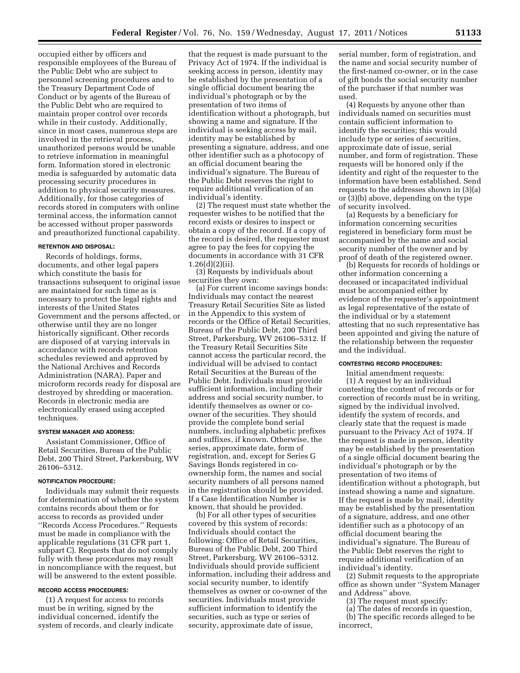occupied either by officers and responsible employees of the Bureau of the Public Debt who are subject to personnel screening procedures and to the Treasury Department Code of Conduct or by agents of the Bureau of the Public Debt who are required to maintain proper control over records while in their custody. Additionally, since in most cases, numerous steps are involved in the retrieval process, unauthorized persons would be unable to retrieve information in meaningful form. Information stored in electronic media is safeguarded by automatic data processing security procedures in addition to physical security measures. Additionally, for those categories of records stored in computers with online terminal access, the information cannot be accessed without proper passwords and preauthorized functional capability.

## **RETENTION AND DISPOSAL:**

Records of holdings, forms, documents, and other legal papers which constitute the basis for transactions subsequent to original issue are maintained for such time as is necessary to protect the legal rights and interests of the United States Government and the persons affected, or otherwise until they are no longer historically significant. Other records are disposed of at varying intervals in accordance with records retention schedules reviewed and approved by the National Archives and Records Administration (NARA). Paper and microform records ready for disposal are destroyed by shredding or maceration. Records in electronic media are electronically erased using accepted techniques.

#### **SYSTEM MANAGER AND ADDRESS:**

Assistant Commissioner, Office of Retail Securities, Bureau of the Public Debt, 200 Third Street, Parkersburg, WV 26106–5312.

#### **NOTIFICATION PROCEDURE:**

Individuals may submit their requests for determination of whether the system contains records about them or for access to records as provided under ''Records Access Procedures.'' Requests must be made in compliance with the applicable regulations (31 CFR part 1, subpart C). Requests that do not comply fully with these procedures may result in noncompliance with the request, but will be answered to the extent possible.

## **RECORD ACCESS PROCEDURES:**

(1) A request for access to records must be in writing, signed by the individual concerned, identify the system of records, and clearly indicate

that the request is made pursuant to the Privacy Act of 1974. If the individual is seeking access in person, identity may be established by the presentation of a single official document bearing the individual's photograph or by the presentation of two items of identification without a photograph, but showing a name and signature. If the individual is seeking access by mail, identity may be established by presenting a signature, address, and one other identifier such as a photocopy of an official document bearing the individual's signature. The Bureau of the Public Debt reserves the right to require additional verification of an individual's identity.

(2) The request must state whether the requester wishes to be notified that the record exists or desires to inspect or obtain a copy of the record. If a copy of the record is desired, the requester must agree to pay the fees for copying the documents in accordance with 31 CFR 1.26(d)(2)(ii).

(3) Requests by individuals about securities they own:

(a) For current income savings bonds: Individuals may contact the nearest Treasury Retail Securities Site as listed in the Appendix to this system of records or the Office of Retail Securities, Bureau of the Public Debt, 200 Third Street, Parkersburg, WV 26106–5312. If the Treasury Retail Securities Site cannot access the particular record, the individual will be advised to contact Retail Securities at the Bureau of the Public Debt. Individuals must provide sufficient information, including their address and social security number, to identify themselves as owner or coowner of the securities. They should provide the complete bond serial numbers, including alphabetic prefixes and suffixes, if known. Otherwise, the series, approximate date, form of registration, and, except for Series G Savings Bonds registered in coownership form, the names and social security numbers of all persons named in the registration should be provided. If a Case Identification Number is known, that should be provided.

(b) For all other types of securities covered by this system of records: Individuals should contact the following: Office of Retail Securities, Bureau of the Public Debt, 200 Third Street, Parkersburg, WV 26106–5312. Individuals should provide sufficient information, including their address and social security number, to identify themselves as owner or co-owner of the securities. Individuals must provide sufficient information to identify the securities, such as type or series of security, approximate date of issue,

serial number, form of registration, and the name and social security number of the first-named co-owner, or in the case of gift bonds the social security number of the purchaser if that number was used.

(4) Requests by anyone other than individuals named on securities must contain sufficient information to identify the securities; this would include type or series of securities, approximate date of issue, serial number, and form of registration. These requests will be honored only if the identity and right of the requester to the information have been established. Send requests to the addresses shown in (3)(a) or (3)(b) above, depending on the type of security involved.

(a) Requests by a beneficiary for information concerning securities registered in beneficiary form must be accompanied by the name and social security number of the owner and by proof of death of the registered owner.

(b) Requests for records of holdings or other information concerning a deceased or incapacitated individual must be accompanied either by evidence of the requester's appointment as legal representative of the estate of the individual or by a statement attesting that no such representative has been appointed and giving the nature of the relationship between the requester and the individual.

## **CONTESTING RECORD PROCEDURES:**

Initial amendment requests: (1) A request by an individual contesting the content of records or for correction of records must be in writing, signed by the individual involved, identify the system of records, and clearly state that the request is made pursuant to the Privacy Act of 1974. If the request is made in person, identity may be established by the presentation of a single official document bearing the individual's photograph or by the presentation of two items of identification without a photograph, but instead showing a name and signature. If the request is made by mail, identity may be established by the presentation of a signature, address, and one other identifier such as a photocopy of an official document bearing the individual's signature. The Bureau of the Public Debt reserves the right to require additional verification of an individual's identity.

(2) Submit requests to the appropriate office as shown under ''System Manager and Address'' above.

- (3) The request must specify:
- (a) The dates of records in question,

(b) The specific records alleged to be incorrect,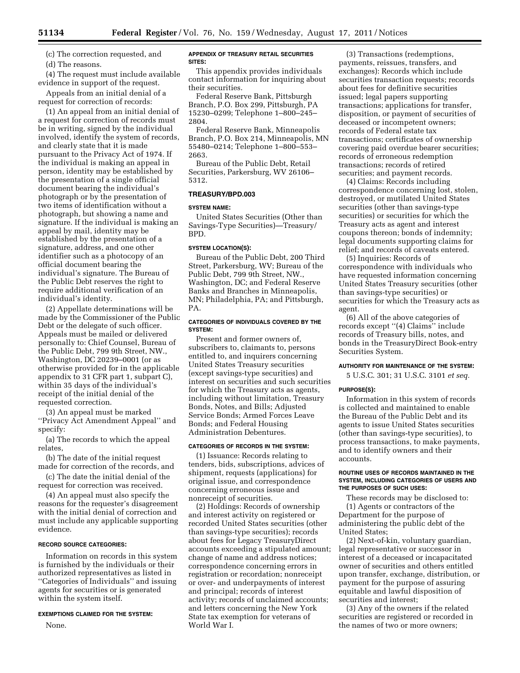(c) The correction requested, and

(d) The reasons.

(4) The request must include available evidence in support of the request.

Appeals from an initial denial of a request for correction of records:

(1) An appeal from an initial denial of a request for correction of records must be in writing, signed by the individual involved, identify the system of records, and clearly state that it is made pursuant to the Privacy Act of 1974. If the individual is making an appeal in person, identity may be established by the presentation of a single official document bearing the individual's photograph or by the presentation of two items of identification without a photograph, but showing a name and signature. If the individual is making an appeal by mail, identity may be established by the presentation of a signature, address, and one other identifier such as a photocopy of an official document bearing the individual's signature. The Bureau of the Public Debt reserves the right to require additional verification of an individual's identity.

(2) Appellate determinations will be made by the Commissioner of the Public Debt or the delegate of such officer. Appeals must be mailed or delivered personally to: Chief Counsel, Bureau of the Public Debt, 799 9th Street, NW., Washington, DC 20239–0001 (or as otherwise provided for in the applicable appendix to 31 CFR part 1, subpart C), within 35 days of the individual's receipt of the initial denial of the requested correction.

(3) An appeal must be marked ''Privacy Act Amendment Appeal'' and specify:

(a) The records to which the appeal relates,

(b) The date of the initial request made for correction of the records, and

(c) The date the initial denial of the request for correction was received.

(4) An appeal must also specify the reasons for the requester's disagreement with the initial denial of correction and must include any applicable supporting evidence.

## **RECORD SOURCE CATEGORIES:**

Information on records in this system is furnished by the individuals or their authorized representatives as listed in ''Categories of Individuals'' and issuing agents for securities or is generated within the system itself.

#### **EXEMPTIONS CLAIMED FOR THE SYSTEM:**

None.

#### **APPENDIX OF TREASURY RETAIL SECURITIES SITES:**

This appendix provides individuals contact information for inquiring about their securities.

Federal Reserve Bank, Pittsburgh Branch, P.O. Box 299, Pittsburgh, PA 15230–0299; Telephone 1–800–245– 2804.

Federal Reserve Bank, Minneapolis Branch, P.O. Box 214, Minneapolis, MN 55480–0214; Telephone 1–800–553– 2663.

Bureau of the Public Debt, Retail Securities, Parkersburg, WV 26106– 5312.

## **TREASURY/BPD.003**

# **SYSTEM NAME:**

United States Securities (Other than Savings-Type Securities)—Treasury/ BPD.

# **SYSTEM LOCATION(S):**

Bureau of the Public Debt, 200 Third Street, Parkersburg, WV; Bureau of the Public Debt, 799 9th Street, NW., Washington, DC; and Federal Reserve Banks and Branches in Minneapolis, MN; Philadelphia, PA; and Pittsburgh, PA.

## **CATEGORIES OF INDIVIDUALS COVERED BY THE SYSTEM:**

Present and former owners of, subscribers to, claimants to, persons entitled to, and inquirers concerning United States Treasury securities (except savings-type securities) and interest on securities and such securities for which the Treasury acts as agents, including without limitation, Treasury Bonds, Notes, and Bills; Adjusted Service Bonds; Armed Forces Leave Bonds; and Federal Housing Administration Debentures.

#### **CATEGORIES OF RECORDS IN THE SYSTEM:**

(1) Issuance: Records relating to tenders, bids, subscriptions, advices of shipment, requests (applications) for original issue, and correspondence concerning erroneous issue and nonreceipt of securities.

(2) Holdings: Records of ownership and interest activity on registered or recorded United States securities (other than savings-type securities); records about fees for Legacy TreasuryDirect accounts exceeding a stipulated amount; change of name and address notices; correspondence concerning errors in registration or recordation; nonreceipt or over- and underpayments of interest and principal; records of interest activity; records of unclaimed accounts; and letters concerning the New York State tax exemption for veterans of World War I.

(3) Transactions (redemptions, payments, reissues, transfers, and exchanges): Records which include securities transaction requests; records about fees for definitive securities issued; legal papers supporting transactions; applications for transfer, disposition, or payment of securities of deceased or incompetent owners; records of Federal estate tax transactions; certificates of ownership covering paid overdue bearer securities; records of erroneous redemption transactions; records of retired securities; and payment records.

(4) Claims: Records including correspondence concerning lost, stolen, destroyed, or mutilated United States securities (other than savings-type securities) or securities for which the Treasury acts as agent and interest coupons thereon; bonds of indemnity; legal documents supporting claims for relief; and records of caveats entered.

(5) Inquiries: Records of correspondence with individuals who have requested information concerning United States Treasury securities (other than savings-type securities) or securities for which the Treasury acts as agent.

(6) All of the above categories of records except ''(4) Claims'' include records of Treasury bills, notes, and bonds in the TreasuryDirect Book-entry Securities System.

#### **AUTHORITY FOR MAINTENANCE OF THE SYSTEM:**

5 U.S.C. 301; 31 U.S.C. 3101 *et seq.* 

## **PURPOSE(S):**

Information in this system of records is collected and maintained to enable the Bureau of the Public Debt and its agents to issue United States securities (other than savings-type securities), to process transactions, to make payments, and to identify owners and their accounts.

#### **ROUTINE USES OF RECORDS MAINTAINED IN THE SYSTEM, INCLUDING CATEGORIES OF USERS AND THE PURPOSES OF SUCH USES:**

These records may be disclosed to: (1) Agents or contractors of the Department for the purpose of administering the public debt of the United States;

(2) Next-of-kin, voluntary guardian, legal representative or successor in interest of a deceased or incapacitated owner of securities and others entitled upon transfer, exchange, distribution, or payment for the purpose of assuring equitable and lawful disposition of securities and interest;

(3) Any of the owners if the related securities are registered or recorded in the names of two or more owners;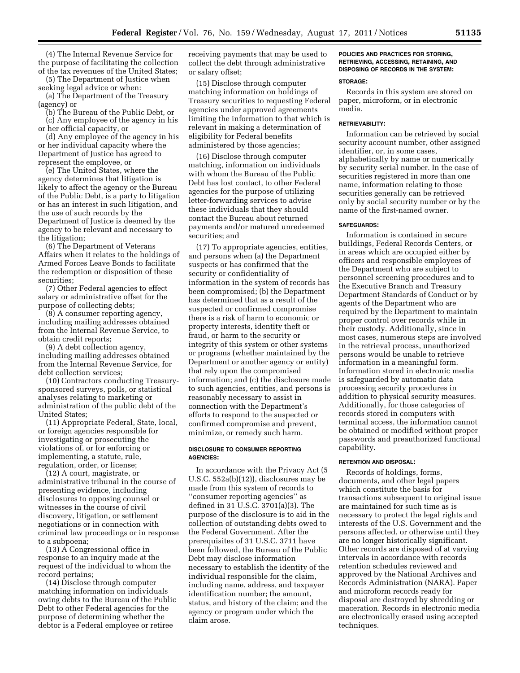(4) The Internal Revenue Service for the purpose of facilitating the collection of the tax revenues of the United States;

(5) The Department of Justice when seeking legal advice or when:

(a) The Department of the Treasury (agency) or

(b) The Bureau of the Public Debt, or

(c) Any employee of the agency in his or her official capacity, or

(d) Any employee of the agency in his or her individual capacity where the Department of Justice has agreed to represent the employee, or

(e) The United States, where the agency determines that litigation is likely to affect the agency or the Bureau of the Public Debt, is a party to litigation or has an interest in such litigation, and the use of such records by the Department of Justice is deemed by the agency to be relevant and necessary to the litigation;

(6) The Department of Veterans Affairs when it relates to the holdings of Armed Forces Leave Bonds to facilitate the redemption or disposition of these securities;

(7) Other Federal agencies to effect salary or administrative offset for the purpose of collecting debts;

(8) A consumer reporting agency, including mailing addresses obtained from the Internal Revenue Service, to obtain credit reports;

(9) A debt collection agency, including mailing addresses obtained from the Internal Revenue Service, for debt collection services;

(10) Contractors conducting Treasurysponsored surveys, polls, or statistical analyses relating to marketing or administration of the public debt of the United States;

(11) Appropriate Federal, State, local, or foreign agencies responsible for investigating or prosecuting the violations of, or for enforcing or implementing, a statute, rule, regulation, order, or license;

(12) A court, magistrate, or administrative tribunal in the course of presenting evidence, including disclosures to opposing counsel or witnesses in the course of civil discovery, litigation, or settlement negotiations or in connection with criminal law proceedings or in response to a subpoena;

(13) A Congressional office in response to an inquiry made at the request of the individual to whom the record pertains;

(14) Disclose through computer matching information on individuals owing debts to the Bureau of the Public Debt to other Federal agencies for the purpose of determining whether the debtor is a Federal employee or retiree

receiving payments that may be used to collect the debt through administrative or salary offset;

(15) Disclose through computer matching information on holdings of Treasury securities to requesting Federal agencies under approved agreements limiting the information to that which is relevant in making a determination of eligibility for Federal benefits administered by those agencies;

(16) Disclose through computer matching, information on individuals with whom the Bureau of the Public Debt has lost contact, to other Federal agencies for the purpose of utilizing letter-forwarding services to advise these individuals that they should contact the Bureau about returned payments and/or matured unredeemed securities; and

(17) To appropriate agencies, entities, and persons when (a) the Department suspects or has confirmed that the security or confidentiality of information in the system of records has been compromised; (b) the Department has determined that as a result of the suspected or confirmed compromise there is a risk of harm to economic or property interests, identity theft or fraud, or harm to the security or integrity of this system or other systems or programs (whether maintained by the Department or another agency or entity) that rely upon the compromised information; and (c) the disclosure made to such agencies, entities, and persons is reasonably necessary to assist in connection with the Department's efforts to respond to the suspected or confirmed compromise and prevent, minimize, or remedy such harm.

## **DISCLOSURE TO CONSUMER REPORTING AGENCIES:**

In accordance with the Privacy Act (5 U.S.C. 552a(b)(12)), disclosures may be made from this system of records to ''consumer reporting agencies'' as defined in 31 U.S.C. 3701(a)(3). The purpose of the disclosure is to aid in the collection of outstanding debts owed to the Federal Government. After the prerequisites of 31 U.S.C. 3711 have been followed, the Bureau of the Public Debt may disclose information necessary to establish the identity of the individual responsible for the claim, including name, address, and taxpayer identification number; the amount, status, and history of the claim; and the agency or program under which the claim arose.

## **POLICIES AND PRACTICES FOR STORING, RETRIEVING, ACCESSING, RETAINING, AND DISPOSING OF RECORDS IN THE SYSTEM:**

#### **STORAGE:**

Records in this system are stored on paper, microform, or in electronic media.

#### **RETRIEVABILITY:**

Information can be retrieved by social security account number, other assigned identifier, or, in some cases, alphabetically by name or numerically by security serial number. In the case of securities registered in more than one name, information relating to those securities generally can be retrieved only by social security number or by the name of the first-named owner.

# **SAFEGUARDS:**

Information is contained in secure buildings, Federal Records Centers, or in areas which are occupied either by officers and responsible employees of the Department who are subject to personnel screening procedures and to the Executive Branch and Treasury Department Standards of Conduct or by agents of the Department who are required by the Department to maintain proper control over records while in their custody. Additionally, since in most cases, numerous steps are involved in the retrieval process, unauthorized persons would be unable to retrieve information in a meaningful form. Information stored in electronic media is safeguarded by automatic data processing security procedures in addition to physical security measures. Additionally, for those categories of records stored in computers with terminal access, the information cannot be obtained or modified without proper passwords and preauthorized functional capability.

# **RETENTION AND DISPOSAL:**

Records of holdings, forms, documents, and other legal papers which constitute the basis for transactions subsequent to original issue are maintained for such time as is necessary to protect the legal rights and interests of the U.S. Government and the persons affected, or otherwise until they are no longer historically significant. Other records are disposed of at varying intervals in accordance with records retention schedules reviewed and approved by the National Archives and Records Administration (NARA). Paper and microform records ready for disposal are destroyed by shredding or maceration. Records in electronic media are electronically erased using accepted techniques.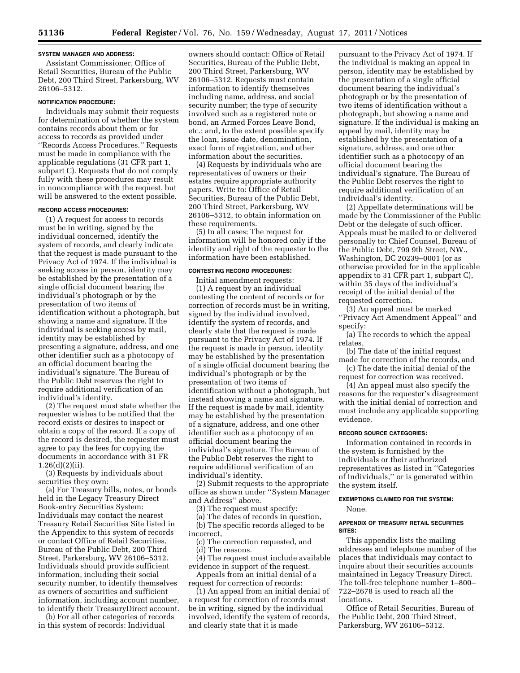## **SYSTEM MANAGER AND ADDRESS:**

Assistant Commissioner, Office of Retail Securities, Bureau of the Public Debt, 200 Third Street, Parkersburg, WV 26106–5312.

#### **NOTIFICATION PROCEDURE:**

Individuals may submit their requests for determination of whether the system contains records about them or for access to records as provided under ''Records Access Procedures.'' Requests must be made in compliance with the applicable regulations (31 CFR part 1, subpart C). Requests that do not comply fully with these procedures may result in noncompliance with the request, but will be answered to the extent possible.

#### **RECORD ACCESS PROCEDURES:**

(1) A request for access to records must be in writing, signed by the individual concerned, identify the system of records, and clearly indicate that the request is made pursuant to the Privacy Act of 1974. If the individual is seeking access in person, identity may be established by the presentation of a single official document bearing the individual's photograph or by the presentation of two items of identification without a photograph, but showing a name and signature. If the individual is seeking access by mail, identity may be established by presenting a signature, address, and one other identifier such as a photocopy of an official document bearing the individual's signature. The Bureau of the Public Debt reserves the right to require additional verification of an individual's identity.

(2) The request must state whether the requester wishes to be notified that the record exists or desires to inspect or obtain a copy of the record. If a copy of the record is desired, the requester must agree to pay the fees for copying the documents in accordance with 31 FR 1.26(d)(2)(ii).

(3) Requests by individuals about securities they own:

(a) For Treasury bills, notes, or bonds held in the Legacy Treasury Direct Book-entry Securities System: Individuals may contact the nearest Treasury Retail Securities Site listed in the Appendix to this system of records or contact Office of Retail Securities, Bureau of the Public Debt, 200 Third Street, Parkersburg, WV 26106–5312. Individuals should provide sufficient information, including their social security number, to identify themselves as owners of securities and sufficient information, including account number, to identify their TreasuryDirect account.

(b) For all other categories of records in this system of records: Individual

owners should contact: Office of Retail Securities, Bureau of the Public Debt, 200 Third Street, Parkersburg, WV 26106–5312. Requests must contain information to identify themselves including name, address, and social security number; the type of security involved such as a registered note or bond, an Armed Forces Leave Bond, etc.; and, to the extent possible specify the loan, issue date, denomination, exact form of registration, and other information about the securities.

(4) Requests by individuals who are representatives of owners or their estates require appropriate authority papers. Write to: Office of Retail Securities, Bureau of the Public Debt, 200 Third Street, Parkersburg, WV 26106–5312, to obtain information on these requirements.

(5) In all cases: The request for information will be honored only if the identity and right of the requester to the information have been established.

## **CONTESTING RECORD PROCEDURES:**

Initial amendment requests: (1) A request by an individual contesting the content of records or for correction of records must be in writing, signed by the individual involved, identify the system of records, and clearly state that the request is made pursuant to the Privacy Act of 1974. If the request is made in person, identity may be established by the presentation of a single official document bearing the individual's photograph or by the presentation of two items of identification without a photograph, but instead showing a name and signature. If the request is made by mail, identity may be established by the presentation of a signature, address, and one other identifier such as a photocopy of an official document bearing the individual's signature. The Bureau of the Public Debt reserves the right to require additional verification of an individual's identity.

(2) Submit requests to the appropriate office as shown under ''System Manager and Address'' above.

(3) The request must specify:

(a) The dates of records in question,

(b) The specific records alleged to be incorrect,

(c) The correction requested, and

(d) The reasons.

(4) The request must include available evidence in support of the request.

Appeals from an initial denial of a request for correction of records:

(1) An appeal from an initial denial of a request for correction of records must be in writing, signed by the individual involved, identify the system of records, and clearly state that it is made

pursuant to the Privacy Act of 1974. If the individual is making an appeal in person, identity may be established by the presentation of a single official document bearing the individual's photograph or by the presentation of two items of identification without a photograph, but showing a name and signature. If the individual is making an appeal by mail, identity may be established by the presentation of a signature, address, and one other identifier such as a photocopy of an official document bearing the individual's signature. The Bureau of the Public Debt reserves the right to require additional verification of an individual's identity.

(2) Appellate determinations will be made by the Commissioner of the Public Debt or the delegate of such officer. Appeals must be mailed to or delivered personally to: Chief Counsel, Bureau of the Public Debt, 799 9th Street, NW., Washington, DC 20239–0001 (or as otherwise provided for in the applicable appendix to 31 CFR part 1, subpart C), within 35 days of the individual's receipt of the initial denial of the requested correction.

(3) An appeal must be marked ''Privacy Act Amendment Appeal'' and specify:

(a) The records to which the appeal relates,

(b) The date of the initial request made for correction of the records, and

(c) The date the initial denial of the request for correction was received.

(4) An appeal must also specify the reasons for the requester's disagreement with the initial denial of correction and must include any applicable supporting evidence.

# **RECORD SOURCE CATEGORIES:**

Information contained in records in the system is furnished by the individuals or their authorized representatives as listed in ''Categories of Individuals,'' or is generated within the system itself.

# **EXEMPTIONS CLAIMED FOR THE SYSTEM:**

None.

## **APPENDIX OF TREASURY RETAIL SECURITIES SITES:**

This appendix lists the mailing addresses and telephone number of the places that individuals may contact to inquire about their securities accounts maintained in Legacy Treasury Direct. The toll-free telephone number 1–800– 722–2678 is used to reach all the locations.

Office of Retail Securities, Bureau of the Public Debt, 200 Third Street, Parkersburg, WV 26106–5312.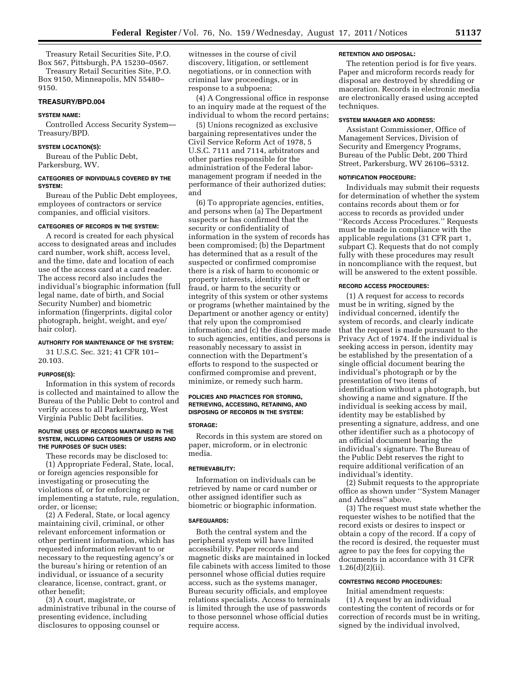Treasury Retail Securities Site, P.O. Box 567, Pittsburgh, PA 15230–0567. Treasury Retail Securities Site, P.O.

Box 9150, Minneapolis, MN 55480– 9150.

# **TREASURY/BPD.004**

#### **SYSTEM NAME:**

Controlled Access Security System— Treasury/BPD.

## **SYSTEM LOCATION(S):**

Bureau of the Public Debt, Parkersburg, WV.

## **CATEGORIES OF INDIVIDUALS COVERED BY THE SYSTEM:**

Bureau of the Public Debt employees, employees of contractors or service companies, and official visitors.

#### **CATEGORIES OF RECORDS IN THE SYSTEM:**

A record is created for each physical access to designated areas and includes card number, work shift, access level, and the time, date and location of each use of the access card at a card reader. The access record also includes the individual's biographic information (full legal name, date of birth, and Social Security Number) and biometric information (fingerprints, digital color photograph, height, weight, and eye/ hair color).

#### **AUTHORITY FOR MAINTENANCE OF THE SYSTEM:**

31 U.S.C. Sec. 321; 41 CFR 101– 20.103.

## **PURPOSE(S):**

Information in this system of records is collected and maintained to allow the Bureau of the Public Debt to control and verify access to all Parkersburg, West Virginia Public Debt facilities.

## **ROUTINE USES OF RECORDS MAINTAINED IN THE SYSTEM, INCLUDING CATEGORIES OF USERS AND THE PURPOSES OF SUCH USES:**

These records may be disclosed to: (1) Appropriate Federal, State, local, or foreign agencies responsible for investigating or prosecuting the violations of, or for enforcing or implementing a statute, rule, regulation, order, or license;

(2) A Federal, State, or local agency maintaining civil, criminal, or other relevant enforcement information or other pertinent information, which has requested information relevant to or necessary to the requesting agency's or the bureau's hiring or retention of an individual, or issuance of a security clearance, license, contract, grant, or other benefit;

(3) A court, magistrate, or administrative tribunal in the course of presenting evidence, including disclosures to opposing counsel or

witnesses in the course of civil discovery, litigation, or settlement negotiations, or in connection with criminal law proceedings, or in response to a subpoena;

(4) A Congressional office in response to an inquiry made at the request of the individual to whom the record pertains;

(5) Unions recognized as exclusive bargaining representatives under the Civil Service Reform Act of 1978, 5 U.S.C. 7111 and 7114, arbitrators and other parties responsible for the administration of the Federal labormanagement program if needed in the performance of their authorized duties; and

(6) To appropriate agencies, entities, and persons when (a) The Department suspects or has confirmed that the security or confidentiality of information in the system of records has been compromised; (b) the Department has determined that as a result of the suspected or confirmed compromise there is a risk of harm to economic or property interests, identity theft or fraud, or harm to the security or integrity of this system or other systems or programs (whether maintained by the Department or another agency or entity) that rely upon the compromised information; and (c) the disclosure made to such agencies, entities, and persons is reasonably necessary to assist in connection with the Department's efforts to respond to the suspected or confirmed compromise and prevent, minimize, or remedy such harm.

## **POLICIES AND PRACTICES FOR STORING, RETRIEVING, ACCESSING, RETAINING, AND DISPOSING OF RECORDS IN THE SYSTEM:**

#### **STORAGE:**

Records in this system are stored on paper, microform, or in electronic media.

#### **RETRIEVABILITY:**

Information on individuals can be retrieved by name or card number or other assigned identifier such as biometric or biographic information.

#### **SAFEGUARDS:**

Both the central system and the peripheral system will have limited accessibility. Paper records and magnetic disks are maintained in locked file cabinets with access limited to those personnel whose official duties require access, such as the systems manager, Bureau security officials, and employee relations specialists. Access to terminals is limited through the use of passwords to those personnel whose official duties require access.

#### **RETENTION AND DISPOSAL:**

The retention period is for five years. Paper and microform records ready for disposal are destroyed by shredding or maceration. Records in electronic media are electronically erased using accepted techniques.

## **SYSTEM MANAGER AND ADDRESS:**

Assistant Commissioner, Office of Management Services, Division of Security and Emergency Programs, Bureau of the Public Debt, 200 Third Street, Parkersburg, WV 26106–5312.

## **NOTIFICATION PROCEDURE:**

Individuals may submit their requests for determination of whether the system contains records about them or for access to records as provided under ''Records Access Procedures.'' Requests must be made in compliance with the applicable regulations (31 CFR part 1, subpart C). Requests that do not comply fully with these procedures may result in noncompliance with the request, but will be answered to the extent possible.

#### **RECORD ACCESS PROCEDURES:**

(1) A request for access to records must be in writing, signed by the individual concerned, identify the system of records, and clearly indicate that the request is made pursuant to the Privacy Act of 1974. If the individual is seeking access in person, identity may be established by the presentation of a single official document bearing the individual's photograph or by the presentation of two items of identification without a photograph, but showing a name and signature. If the individual is seeking access by mail, identity may be established by presenting a signature, address, and one other identifier such as a photocopy of an official document bearing the individual's signature. The Bureau of the Public Debt reserves the right to require additional verification of an individual's identity.

(2) Submit requests to the appropriate office as shown under ''System Manager and Address'' above.

(3) The request must state whether the requester wishes to be notified that the record exists or desires to inspect or obtain a copy of the record. If a copy of the record is desired, the requester must agree to pay the fees for copying the documents in accordance with 31 CFR 1.26(d)(2)(ii).

## **CONTESTING RECORD PROCEDURES:**

Initial amendment requests: (1) A request by an individual contesting the content of records or for correction of records must be in writing, signed by the individual involved,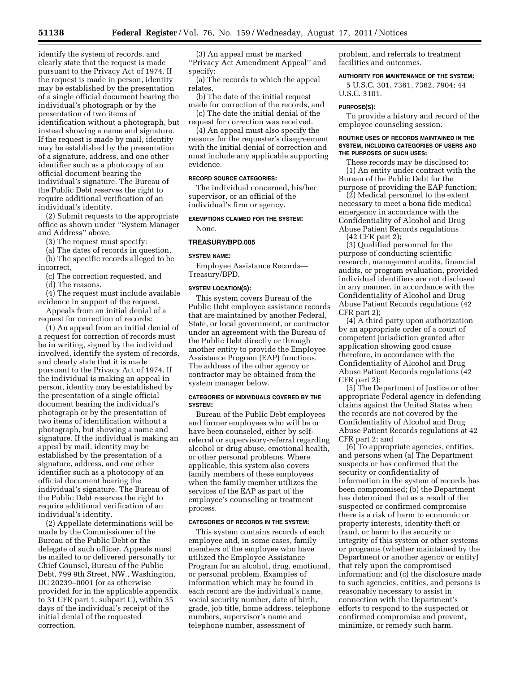identify the system of records, and clearly state that the request is made pursuant to the Privacy Act of 1974. If the request is made in person, identity may be established by the presentation of a single official document bearing the individual's photograph or by the presentation of two items of identification without a photograph, but instead showing a name and signature. If the request is made by mail, identity may be established by the presentation of a signature, address, and one other identifier such as a photocopy of an official document bearing the individual's signature. The Bureau of the Public Debt reserves the right to require additional verification of an individual's identity.

(2) Submit requests to the appropriate office as shown under ''System Manager and Address'' above.

(3) The request must specify:

(a) The dates of records in question, (b) The specific records alleged to be

incorrect, (c) The correction requested, and

(d) The reasons.

(4) The request must include available evidence in support of the request.

Appeals from an initial denial of a request for correction of records:

(1) An appeal from an initial denial of a request for correction of records must be in writing, signed by the individual involved, identify the system of records, and clearly state that it is made pursuant to the Privacy Act of 1974. If the individual is making an appeal in person, identity may be established by the presentation of a single official document bearing the individual's photograph or by the presentation of two items of identification without a photograph, but showing a name and signature. If the individual is making an appeal by mail, identity may be established by the presentation of a signature, address, and one other identifier such as a photocopy of an official document bearing the individual's signature. The Bureau of the Public Debt reserves the right to require additional verification of an individual's identity.

(2) Appellate determinations will be made by the Commissioner of the Bureau of the Public Debt or the delegate of such officer. Appeals must be mailed to or delivered personally to: Chief Counsel, Bureau of the Public Debt, 799 9th Street, NW., Washington, DC 20239–0001 (or as otherwise provided for in the applicable appendix to 31 CFR part 1, subpart C), within 35 days of the individual's receipt of the initial denial of the requested correction.

(3) An appeal must be marked ''Privacy Act Amendment Appeal'' and specify:

(a) The records to which the appeal relates,

(b) The date of the initial request made for correction of the records, and

(c) The date the initial denial of the request for correction was received.

(4) An appeal must also specify the reasons for the requester's disagreement with the initial denial of correction and must include any applicable supporting evidence.

#### **RECORD SOURCE CATEGORIES:**

The individual concerned, his/her supervisor, or an official of the individual's firm or agency.

# **EXEMPTIONS CLAIMED FOR THE SYSTEM:**

None.

## **TREASURY/BPD.005**

#### **SYSTEM NAME:**

Employee Assistance Records— Treasury/BPD.

#### **SYSTEM LOCATION(S):**

This system covers Bureau of the Public Debt employee assistance records that are maintained by another Federal, State, or local government, or contractor under an agreement with the Bureau of the Public Debt directly or through another entity to provide the Employee Assistance Program (EAP) functions. The address of the other agency or contractor may be obtained from the system manager below.

## **CATEGORIES OF INDIVIDUALS COVERED BY THE SYSTEM:**

Bureau of the Public Debt employees and former employees who will be or have been counseled, either by selfreferral or supervisory-referral regarding alcohol or drug abuse, emotional health, or other personal problems. Where applicable, this system also covers family members of these employees when the family member utilizes the services of the EAP as part of the employee's counseling or treatment process.

#### **CATEGORIES OF RECORDS IN THE SYSTEM:**

This system contains records of each employee and, in some cases, family members of the employee who have utilized the Employee Assistance Program for an alcohol, drug, emotional, or personal problem. Examples of information which may be found in each record are the individual's name, social security number, date of birth, grade, job title, home address, telephone numbers, supervisor's name and telephone number, assessment of

problem, and referrals to treatment facilities and outcomes.

#### **AUTHORITY FOR MAINTENANCE OF THE SYSTEM:**

5 U.S.C. 301, 7361, 7362, 7904; 44 U.S.C. 3101.

#### **PURPOSE(S):**

To provide a history and record of the employee counseling session.

#### **ROUTINE USES OF RECORDS MAINTAINED IN THE SYSTEM, INCLUDING CATEGORIES OF USERS AND THE PURPOSES OF SUCH USES:**

These records may be disclosed to: (1) An entity under contract with the Bureau of the Public Debt for the purpose of providing the EAP function;

(2) Medical personnel to the extent necessary to meet a bona fide medical emergency in accordance with the Confidentiality of Alcohol and Drug Abuse Patient Records regulations

(42 CFR part 2);

(3) Qualified personnel for the purpose of conducting scientific research, management audits, financial audits, or program evaluation, provided individual identifiers are not disclosed in any manner, in accordance with the Confidentiality of Alcohol and Drug Abuse Patient Records regulations (42 CFR part 2);

(4) A third party upon authorization by an appropriate order of a court of competent jurisdiction granted after application showing good cause therefore, in accordance with the Confidentiality of Alcohol and Drug Abuse Patient Records regulations (42 CFR part 2);

(5) The Department of Justice or other appropriate Federal agency in defending claims against the United States when the records are not covered by the Confidentiality of Alcohol and Drug Abuse Patient Records regulations at 42 CFR part 2; and

(6) To appropriate agencies, entities, and persons when (a) The Department suspects or has confirmed that the security or confidentiality of information in the system of records has been compromised; (b) the Department has determined that as a result of the suspected or confirmed compromise there is a risk of harm to economic or property interests, identity theft or fraud, or harm to the security or integrity of this system or other systems or programs (whether maintained by the Department or another agency or entity) that rely upon the compromised information; and (c) the disclosure made to such agencies, entities, and persons is reasonably necessary to assist in connection with the Department's efforts to respond to the suspected or confirmed compromise and prevent, minimize, or remedy such harm.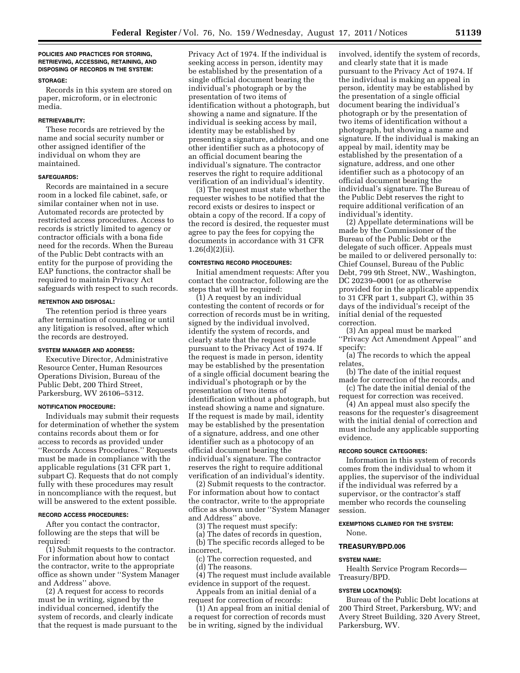## **POLICIES AND PRACTICES FOR STORING, RETRIEVING, ACCESSING, RETAINING, AND DISPOSING OF RECORDS IN THE SYSTEM:**

#### **STORAGE:**

Records in this system are stored on paper, microform, or in electronic media.

# **RETRIEVABILITY:**

These records are retrieved by the name and social security number or other assigned identifier of the individual on whom they are maintained.

## **SAFEGUARDS:**

Records are maintained in a secure room in a locked file cabinet, safe, or similar container when not in use. Automated records are protected by restricted access procedures. Access to records is strictly limited to agency or contractor officials with a bona fide need for the records. When the Bureau of the Public Debt contracts with an entity for the purpose of providing the EAP functions, the contractor shall be required to maintain Privacy Act safeguards with respect to such records.

#### **RETENTION AND DISPOSAL:**

The retention period is three years after termination of counseling or until any litigation is resolved, after which the records are destroyed.

## **SYSTEM MANAGER AND ADDRESS:**

Executive Director, Administrative Resource Center, Human Resources Operations Division, Bureau of the Public Debt, 200 Third Street, Parkersburg, WV 26106–5312.

#### **NOTIFICATION PROCEDURE:**

Individuals may submit their requests for determination of whether the system contains records about them or for access to records as provided under ''Records Access Procedures.'' Requests must be made in compliance with the applicable regulations (31 CFR part 1, subpart C). Requests that do not comply fully with these procedures may result in noncompliance with the request, but will be answered to the extent possible.

#### **RECORD ACCESS PROCEDURES:**

After you contact the contractor, following are the steps that will be required:

(1) Submit requests to the contractor. For information about how to contact the contractor, write to the appropriate office as shown under ''System Manager and Address'' above.

(2) A request for access to records must be in writing, signed by the individual concerned, identify the system of records, and clearly indicate that the request is made pursuant to the

Privacy Act of 1974. If the individual is seeking access in person, identity may be established by the presentation of a single official document bearing the individual's photograph or by the presentation of two items of identification without a photograph, but showing a name and signature. If the individual is seeking access by mail, identity may be established by presenting a signature, address, and one other identifier such as a photocopy of an official document bearing the individual's signature. The contractor reserves the right to require additional verification of an individual's identity.

(3) The request must state whether the requester wishes to be notified that the record exists or desires to inspect or obtain a copy of the record. If a copy of the record is desired, the requester must agree to pay the fees for copying the documents in accordance with 31 CFR 1.26(d)(2)(ii).

# **CONTESTING RECORD PROCEDURES:**

Initial amendment requests: After you contact the contractor, following are the steps that will be required:

(1) A request by an individual contesting the content of records or for correction of records must be in writing, signed by the individual involved, identify the system of records, and clearly state that the request is made pursuant to the Privacy Act of 1974. If the request is made in person, identity may be established by the presentation of a single official document bearing the individual's photograph or by the presentation of two items of identification without a photograph, but instead showing a name and signature. If the request is made by mail, identity may be established by the presentation of a signature, address, and one other identifier such as a photocopy of an official document bearing the individual's signature. The contractor reserves the right to require additional verification of an individual's identity.

(2) Submit requests to the contractor. For information about how to contact the contractor, write to the appropriate office as shown under ''System Manager and Address'' above.

(3) The request must specify:

(a) The dates of records in question, (b) The specific records alleged to be incorrect,

(c) The correction requested, and

(d) The reasons.

(4) The request must include available evidence in support of the request.

Appeals from an initial denial of a request for correction of records:

(1) An appeal from an initial denial of a request for correction of records must be in writing, signed by the individual

involved, identify the system of records, and clearly state that it is made pursuant to the Privacy Act of 1974. If the individual is making an appeal in person, identity may be established by the presentation of a single official document bearing the individual's photograph or by the presentation of two items of identification without a photograph, but showing a name and signature. If the individual is making an appeal by mail, identity may be established by the presentation of a signature, address, and one other identifier such as a photocopy of an official document bearing the individual's signature. The Bureau of the Public Debt reserves the right to require additional verification of an individual's identity.

(2) Appellate determinations will be made by the Commissioner of the Bureau of the Public Debt or the delegate of such officer. Appeals must be mailed to or delivered personally to: Chief Counsel, Bureau of the Public Debt, 799 9th Street, NW., Washington, DC 20239-0001 (or as otherwise provided for in the applicable appendix to 31 CFR part 1, subpart C), within 35 days of the individual's receipt of the initial denial of the requested correction.

(3) An appeal must be marked ''Privacy Act Amendment Appeal'' and specify:

(a) The records to which the appeal relates,

(b) The date of the initial request made for correction of the records, and

(c) The date the initial denial of the request for correction was received.

(4) An appeal must also specify the reasons for the requester's disagreement with the initial denial of correction and must include any applicable supporting evidence.

#### **RECORD SOURCE CATEGORIES:**

Information in this system of records comes from the individual to whom it applies, the supervisor of the individual if the individual was referred by a supervisor, or the contractor's staff member who records the counseling session.

**EXEMPTIONS CLAIMED FOR THE SYSTEM:**  None.

#### **TREASURY/BPD.006**

## **SYSTEM NAME:**

Health Service Program Records— Treasury/BPD.

#### **SYSTEM LOCATION(S):**

Bureau of the Public Debt locations at 200 Third Street, Parkersburg, WV; and Avery Street Building, 320 Avery Street, Parkersburg, WV.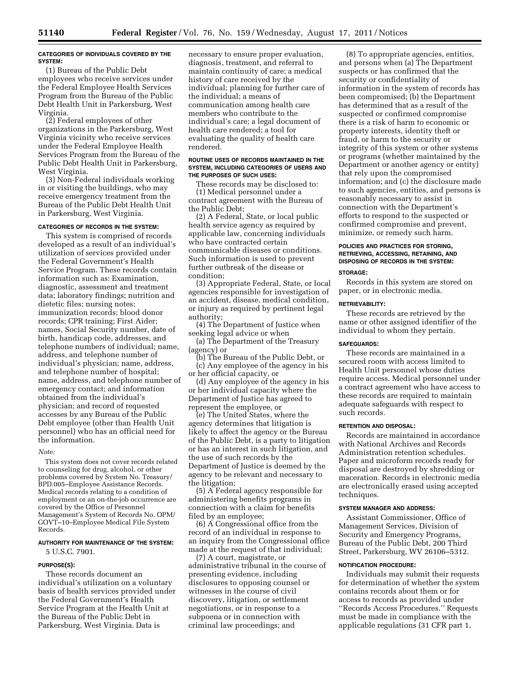#### **CATEGORIES OF INDIVIDUALS COVERED BY THE SYSTEM:**

(1) Bureau of the Public Debt employees who receive services under the Federal Employee Health Services Program from the Bureau of the Public Debt Health Unit in Parkersburg, West Virginia.

(2) Federal employees of other organizations in the Parkersburg, West Virginia vicinity who receive services under the Federal Employee Health Services Program from the Bureau of the Public Debt Health Unit in Parkersburg, West Virginia.

(3) Non-Federal individuals working in or visiting the buildings, who may receive emergency treatment from the Bureau of the Public Debt Health Unit in Parkersburg, West Virginia.

## **CATEGORIES OF RECORDS IN THE SYSTEM:**

This system is comprised of records developed as a result of an individual's utilization of services provided under the Federal Government's Health Service Program. These records contain information such as: Examination, diagnostic, assessment and treatment data; laboratory findings; nutrition and dietetic files; nursing notes; immunization records; blood donor records; CPR training; First Aider; names, Social Security number, date of birth, handicap code, addresses, and telephone numbers of individual; name, address, and telephone number of individual's physician; name, address, and telephone number of hospital; name, address, and telephone number of emergency contact; and information obtained from the individual's physician; and record of requested accesses by any Bureau of the Public Debt employee (other than Health Unit personnel) who has an official need for the information.

#### *Note:*

This system does not cover records related to counseling for drug, alcohol, or other problems covered by System No. Treasury/ BPD.005–Employee Assistance Records. Medical records relating to a condition of employment or an on-the-job occurrence are covered by the Office of Personnel Management's System of Records No. OPM/ GOVT–10–Employee Medical File System Records.

# **AUTHORITY FOR MAINTENANCE OF THE SYSTEM:**

5 U.S.C. 7901.

## **PURPOSE(S):**

These records document an individual's utilization on a voluntary basis of health services provided under the Federal Government's Health Service Program at the Health Unit at the Bureau of the Public Debt in Parkersburg, West Virginia. Data is

necessary to ensure proper evaluation, diagnosis, treatment, and referral to maintain continuity of care; a medical history of care received by the individual; planning for further care of the individual; a means of communication among health care members who contribute to the individual's care; a legal document of health care rendered; a tool for evaluating the quality of health care rendered.

#### **ROUTINE USES OF RECORDS MAINTAINED IN THE SYSTEM, INCLUDING CATEGORIES OF USERS AND THE PURPOSES OF SUCH USES:**

These records may be disclosed to: (1) Medical personnel under a contract agreement with the Bureau of the Public Debt;

(2) A Federal, State, or local public health service agency as required by applicable law, concerning individuals who have contracted certain communicable diseases or conditions. Such information is used to prevent further outbreak of the disease or condition;

(3) Appropriate Federal, State, or local agencies responsible for investigation of an accident, disease, medical condition, or injury as required by pertinent legal authority;

(4) The Department of Justice when seeking legal advice or when

(a) The Department of the Treasury (agency) or

(b) The Bureau of the Public Debt, or (c) Any employee of the agency in his or her official capacity, or

(d) Any employee of the agency in his or her individual capacity where the Department of Justice has agreed to represent the employee, or

(e) The United States, where the agency determines that litigation is likely to affect the agency or the Bureau of the Public Debt, is a party to litigation or has an interest in such litigation, and the use of such records by the Department of Justice is deemed by the agency to be relevant and necessary to the litigation;

(5) A Federal agency responsible for administering benefits programs in connection with a claim for benefits filed by an employee;

(6) A Congressional office from the record of an individual in response to an inquiry from the Congressional office made at the request of that individual;

(7) A court, magistrate, or administrative tribunal in the course of presenting evidence, including disclosures to opposing counsel or witnesses in the course of civil discovery, litigation, or settlement negotiations, or in response to a subpoena or in connection with criminal law proceedings; and

(8) To appropriate agencies, entities, and persons when (a) The Department suspects or has confirmed that the security or confidentiality of information in the system of records has been compromised; (b) the Department has determined that as a result of the suspected or confirmed compromise there is a risk of harm to economic or property interests, identity theft or fraud, or harm to the security or integrity of this system or other systems or programs (whether maintained by the Department or another agency or entity) that rely upon the compromised information; and (c) the disclosure made to such agencies, entities, and persons is reasonably necessary to assist in connection with the Department's efforts to respond to the suspected or confirmed compromise and prevent, minimize, or remedy such harm.

# **POLICIES AND PRACTICES FOR STORING, RETRIEVING, ACCESSING, RETAINING, AND DISPOSING OF RECORDS IN THE SYSTEM:**

#### **STORAGE:**

Records in this system are stored on paper, or in electronic media.

#### **RETRIEVABILITY:**

These records are retrieved by the name or other assigned identifier of the individual to whom they pertain.

#### **SAFEGUARDS:**

These records are maintained in a secured room with access limited to Health Unit personnel whose duties require access. Medical personnel under a contract agreement who have access to these records are required to maintain adequate safeguards with respect to such records.

#### **RETENTION AND DISPOSAL:**

Records are maintained in accordance with National Archives and Records Administration retention schedules. Paper and microform records ready for disposal are destroyed by shredding or maceration. Records in electronic media are electronically erased using accepted techniques.

#### **SYSTEM MANAGER AND ADDRESS:**

Assistant Commissioner, Office of Management Services, Division of Security and Emergency Programs, Bureau of the Public Debt, 200 Third Street, Parkersburg, WV 26106–5312.

#### **NOTIFICATION PROCEDURE:**

Individuals may submit their requests for determination of whether the system contains records about them or for access to records as provided under ''Records Access Procedures.'' Requests must be made in compliance with the applicable regulations (31 CFR part 1,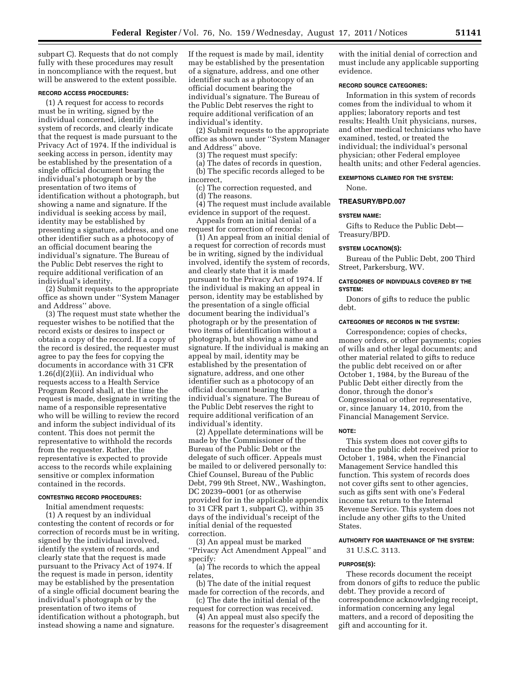subpart C). Requests that do not comply fully with these procedures may result in noncompliance with the request, but will be answered to the extent possible.

#### **RECORD ACCESS PROCEDURES:**

(1) A request for access to records must be in writing, signed by the individual concerned, identify the system of records, and clearly indicate that the request is made pursuant to the Privacy Act of 1974. If the individual is seeking access in person, identity may be established by the presentation of a single official document bearing the individual's photograph or by the presentation of two items of identification without a photograph, but showing a name and signature. If the individual is seeking access by mail, identity may be established by presenting a signature, address, and one other identifier such as a photocopy of an official document bearing the individual's signature. The Bureau of the Public Debt reserves the right to require additional verification of an individual's identity.

(2) Submit requests to the appropriate office as shown under ''System Manager and Address'' above.

(3) The request must state whether the requester wishes to be notified that the record exists or desires to inspect or obtain a copy of the record. If a copy of the record is desired, the requester must agree to pay the fees for copying the documents in accordance with 31 CFR 1.26(d)(2)(ii). An individual who requests access to a Health Service Program Record shall, at the time the request is made, designate in writing the name of a responsible representative who will be willing to review the record and inform the subject individual of its content. This does not permit the representative to withhold the records from the requester. Rather, the representative is expected to provide access to the records while explaining sensitive or complex information contained in the records.

#### **CONTESTING RECORD PROCEDURES:**

Initial amendment requests:

(1) A request by an individual contesting the content of records or for correction of records must be in writing, signed by the individual involved, identify the system of records, and clearly state that the request is made pursuant to the Privacy Act of 1974. If the request is made in person, identity may be established by the presentation of a single official document bearing the individual's photograph or by the presentation of two items of identification without a photograph, but instead showing a name and signature.

If the request is made by mail, identity may be established by the presentation of a signature, address, and one other identifier such as a photocopy of an official document bearing the individual's signature. The Bureau of the Public Debt reserves the right to require additional verification of an individual's identity.

(2) Submit requests to the appropriate office as shown under ''System Manager and Address'' above.

(3) The request must specify:

(a) The dates of records in question,

(b) The specific records alleged to be incorrect,

(c) The correction requested, and (d) The reasons.

(4) The request must include available evidence in support of the request.

Appeals from an initial denial of a request for correction of records:

(1) An appeal from an initial denial of a request for correction of records must be in writing, signed by the individual involved, identify the system of records, and clearly state that it is made pursuant to the Privacy Act of 1974. If the individual is making an appeal in person, identity may be established by the presentation of a single official document bearing the individual's photograph or by the presentation of two items of identification without a photograph, but showing a name and signature. If the individual is making an appeal by mail, identity may be established by the presentation of signature, address, and one other identifier such as a photocopy of an official document bearing the individual's signature. The Bureau of the Public Debt reserves the right to require additional verification of an individual's identity.

(2) Appellate determinations will be made by the Commissioner of the Bureau of the Public Debt or the delegate of such officer. Appeals must be mailed to or delivered personally to: Chief Counsel, Bureau of the Public Debt, 799 9th Street, NW., Washington, DC 20239–0001 (or as otherwise provided for in the applicable appendix to 31 CFR part 1, subpart C), within 35 days of the individual's receipt of the initial denial of the requested correction.

(3) An appeal must be marked ''Privacy Act Amendment Appeal'' and specify:

(a) The records to which the appeal relates,

(b) The date of the initial request made for correction of the records, and

(c) The date the initial denial of the request for correction was received.

(4) An appeal must also specify the reasons for the requester's disagreement with the initial denial of correction and must include any applicable supporting evidence.

## **RECORD SOURCE CATEGORIES:**

Information in this system of records comes from the individual to whom it applies; laboratory reports and test results; Health Unit physicians, nurses, and other medical technicians who have examined, tested, or treated the individual; the individual's personal physician; other Federal employee health units; and other Federal agencies.

# **EXEMPTIONS CLAIMED FOR THE SYSTEM:**

None.

#### **TREASURY/BPD.007**

#### **SYSTEM NAME:**

Gifts to Reduce the Public Debt— Treasury/BPD.

#### **SYSTEM LOCATION(S):**

Bureau of the Public Debt, 200 Third Street, Parkersburg, WV.

## **CATEGORIES OF INDIVIDUALS COVERED BY THE SYSTEM:**

Donors of gifts to reduce the public debt.

# **CATEGORIES OF RECORDS IN THE SYSTEM:**

Correspondence; copies of checks, money orders, or other payments; copies of wills and other legal documents; and other material related to gifts to reduce the public debt received on or after October 1, 1984, by the Bureau of the Public Debt either directly from the donor, through the donor's Congressional or other representative, or, since January 14, 2010, from the Financial Management Service.

#### **NOTE:**

This system does not cover gifts to reduce the public debt received prior to October 1, 1984, when the Financial Management Service handled this function. This system of records does not cover gifts sent to other agencies, such as gifts sent with one's Federal income tax return to the Internal Revenue Service. This system does not include any other gifts to the United States.

#### **AUTHORITY FOR MAINTENANCE OF THE SYSTEM:**

31 U.S.C. 3113.

#### **PURPOSE(S):**

These records document the receipt from donors of gifts to reduce the public debt. They provide a record of correspondence acknowledging receipt, information concerning any legal matters, and a record of depositing the gift and accounting for it.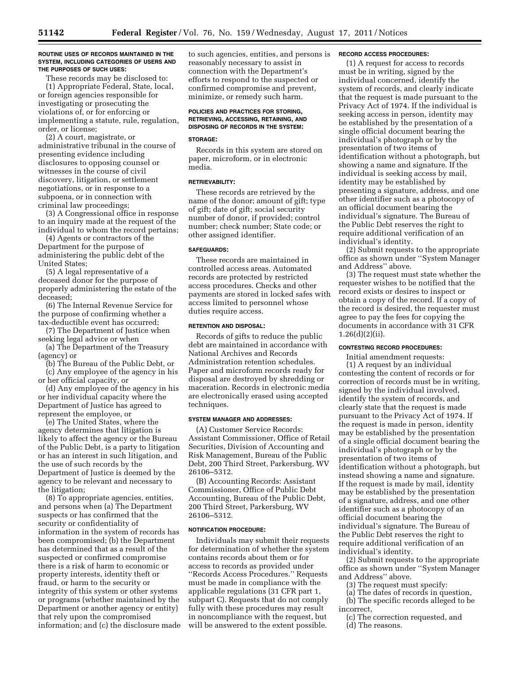#### **ROUTINE USES OF RECORDS MAINTAINED IN THE SYSTEM, INCLUDING CATEGORIES OF USERS AND THE PURPOSES OF SUCH USES:**

These records may be disclosed to: (1) Appropriate Federal, State, local, or foreign agencies responsible for investigating or prosecuting the violations of, or for enforcing or implementing a statute, rule, regulation, order, or license;

(2) A court, magistrate, or administrative tribunal in the course of presenting evidence including disclosures to opposing counsel or witnesses in the course of civil discovery, litigation, or settlement negotiations, or in response to a subpoena, or in connection with criminal law proceedings;

(3) A Congressional office in response to an inquiry made at the request of the individual to whom the record pertains;

(4) Agents or contractors of the Department for the purpose of administering the public debt of the United States;

(5) A legal representative of a deceased donor for the purpose of properly administering the estate of the deceased;

(6) The Internal Revenue Service for the purpose of confirming whether a tax-deductible event has occurred;

(7) The Department of Justice when seeking legal advice or when

(a) The Department of the Treasury (agency) or

(b) The Bureau of the Public Debt, or (c) Any employee of the agency in his

or her official capacity, or (d) Any employee of the agency in his or her individual capacity where the Department of Justice has agreed to represent the employee, or

(e) The United States, where the agency determines that litigation is likely to affect the agency or the Bureau of the Public Debt, is a party to litigation or has an interest in such litigation, and the use of such records by the Department of Justice is deemed by the agency to be relevant and necessary to the litigation;

(8) To appropriate agencies, entities, and persons when (a) The Department suspects or has confirmed that the security or confidentiality of information in the system of records has been compromised; (b) the Department has determined that as a result of the suspected or confirmed compromise there is a risk of harm to economic or property interests, identity theft or fraud, or harm to the security or integrity of this system or other systems or programs (whether maintained by the Department or another agency or entity) that rely upon the compromised information; and (c) the disclosure made to such agencies, entities, and persons is reasonably necessary to assist in connection with the Department's efforts to respond to the suspected or confirmed compromise and prevent, minimize, or remedy such harm.

# **POLICIES AND PRACTICES FOR STORING, RETRIEVING, ACCESSING, RETAINING, AND DISPOSING OF RECORDS IN THE SYSTEM:**

# **STORAGE:**

Records in this system are stored on paper, microform, or in electronic media.

## **RETRIEVABILITY:**

These records are retrieved by the name of the donor; amount of gift; type of gift; date of gift; social security number of donor, if provided; control number; check number; State code; or other assigned identifier.

## **SAFEGUARDS:**

These records are maintained in controlled access areas. Automated records are protected by restricted access procedures. Checks and other payments are stored in locked safes with access limited to personnel whose duties require access.

## **RETENTION AND DISPOSAL:**

Records of gifts to reduce the public debt are maintained in accordance with National Archives and Records Administration retention schedules. Paper and microform records ready for disposal are destroyed by shredding or maceration. Records in electronic media are electronically erased using accepted techniques.

## **SYSTEM MANAGER AND ADDRESSES:**

(A) Customer Service Records: Assistant Commissioner, Office of Retail Securities, Division of Accounting and Risk Management, Bureau of the Public Debt, 200 Third Street, Parkersburg, WV 26106–5312.

(B) Accounting Records: Assistant Commissioner, Office of Public Debt Accounting, Bureau of the Public Debt, 200 Third Street, Parkersburg, WV 26106–5312.

## **NOTIFICATION PROCEDURE:**

Individuals may submit their requests for determination of whether the system contains records about them or for access to records as provided under ''Records Access Procedures.'' Requests must be made in compliance with the applicable regulations (31 CFR part 1, subpart C). Requests that do not comply fully with these procedures may result in noncompliance with the request, but will be answered to the extent possible.

#### **RECORD ACCESS PROCEDURES:**

(1) A request for access to records must be in writing, signed by the individual concerned, identify the system of records, and clearly indicate that the request is made pursuant to the Privacy Act of 1974. If the individual is seeking access in person, identity may be established by the presentation of a single official document bearing the individual's photograph or by the presentation of two items of identification without a photograph, but showing a name and signature. If the individual is seeking access by mail, identity may be established by presenting a signature, address, and one other identifier such as a photocopy of an official document bearing the individual's signature. The Bureau of the Public Debt reserves the right to require additional verification of an individual's identity.

(2) Submit requests to the appropriate office as shown under ''System Manager and Address'' above.

(3) The request must state whether the requester wishes to be notified that the record exists or desires to inspect or obtain a copy of the record. If a copy of the record is desired, the requester must agree to pay the fees for copying the documents in accordance with 31 CFR  $1.26(d)(2)(ii)$ .

## **CONTESTING RECORD PROCEDURES:**

Initial amendment requests: (1) A request by an individual contesting the content of records or for correction of records must be in writing, signed by the individual involved, identify the system of records, and clearly state that the request is made pursuant to the Privacy Act of 1974. If the request is made in person, identity may be established by the presentation of a single official document bearing the individual's photograph or by the presentation of two items of identification without a photograph, but instead showing a name and signature. If the request is made by mail, identity may be established by the presentation of a signature, address, and one other identifier such as a photocopy of an official document bearing the individual's signature. The Bureau of the Public Debt reserves the right to require additional verification of an individual's identity.

(2) Submit requests to the appropriate office as shown under ''System Manager and Address'' above.

- (3) The request must specify:
- (a) The dates of records in question,
- (b) The specific records alleged to be incorrect,
	- (c) The correction requested, and
	- (d) The reasons.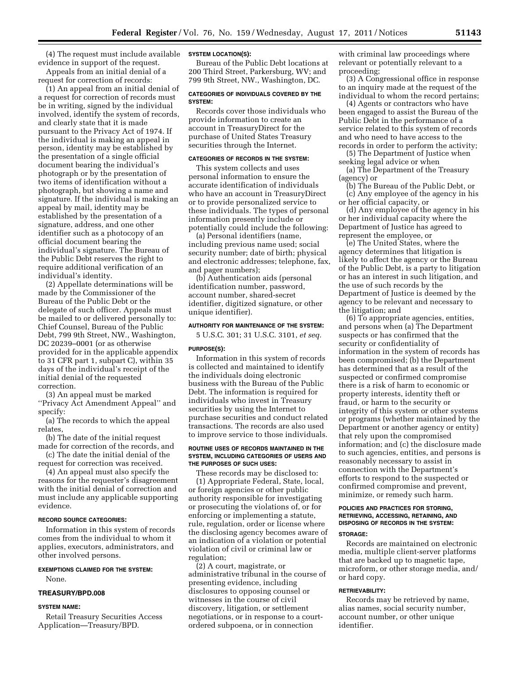(4) The request must include available **SYSTEM LOCATION(S):**  evidence in support of the request.

Appeals from an initial denial of a request for correction of records:

(1) An appeal from an initial denial of a request for correction of records must be in writing, signed by the individual involved, identify the system of records, and clearly state that it is made pursuant to the Privacy Act of 1974. If the individual is making an appeal in person, identity may be established by the presentation of a single official document bearing the individual's photograph or by the presentation of two items of identification without a photograph, but showing a name and signature. If the individual is making an appeal by mail, identity may be established by the presentation of a signature, address, and one other identifier such as a photocopy of an official document bearing the individual's signature. The Bureau of the Public Debt reserves the right to require additional verification of an individual's identity.

(2) Appellate determinations will be made by the Commissioner of the Bureau of the Public Debt or the delegate of such officer. Appeals must be mailed to or delivered personally to: Chief Counsel, Bureau of the Public Debt, 799 9th Street, NW., Washington, DC 20239–0001 (or as otherwise provided for in the applicable appendix to 31 CFR part 1, subpart C), within 35 days of the individual's receipt of the initial denial of the requested correction.

(3) An appeal must be marked ''Privacy Act Amendment Appeal'' and specify:

(a) The records to which the appeal relates,

(b) The date of the initial request made for correction of the records, and

(c) The date the initial denial of the request for correction was received.

(4) An appeal must also specify the reasons for the requester's disagreement with the initial denial of correction and must include any applicable supporting evidence.

#### **RECORD SOURCE CATEGORIES:**

Information in this system of records comes from the individual to whom it applies, executors, administrators, and other involved persons.

## **EXEMPTIONS CLAIMED FOR THE SYSTEM:**

None.

# **TREASURY/BPD.008**

#### **SYSTEM NAME:**

Retail Treasury Securities Access Application—Treasury/BPD.

Bureau of the Public Debt locations at 200 Third Street, Parkersburg, WV; and 799 9th Street, NW., Washington, DC.

#### **CATEGORIES OF INDIVIDUALS COVERED BY THE SYSTEM:**

Records cover those individuals who provide information to create an account in TreasuryDirect for the purchase of United States Treasury securities through the Internet.

# **CATEGORIES OF RECORDS IN THE SYSTEM:**

This system collects and uses personal information to ensure the accurate identification of individuals who have an account in TreasuryDirect or to provide personalized service to these individuals. The types of personal information presently include or potentially could include the following:

(a) Personal identifiers (name, including previous name used; social security number; date of birth; physical and electronic addresses; telephone, fax, and pager numbers);

(b) Authentication aids (personal identification number, password, account number, shared-secret identifier, digitized signature, or other unique identifier).

# **AUTHORITY FOR MAINTENANCE OF THE SYSTEM:**

5 U.S.C. 301; 31 U.S.C. 3101, *et seq.* 

## **PURPOSE(S):**

Information in this system of records is collected and maintained to identify the individuals doing electronic business with the Bureau of the Public Debt. The information is required for individuals who invest in Treasury securities by using the Internet to purchase securities and conduct related transactions. The records are also used to improve service to those individuals.

#### **ROUTINE USES OF RECORDS MAINTAINED IN THE SYSTEM, INCLUDING CATEGORIES OF USERS AND THE PURPOSES OF SUCH USES:**

These records may be disclosed to: (1) Appropriate Federal, State, local, or foreign agencies or other public authority responsible for investigating or prosecuting the violations of, or for enforcing or implementing a statute, rule, regulation, order or license where the disclosing agency becomes aware of an indication of a violation or potential violation of civil or criminal law or regulation;

(2) A court, magistrate, or administrative tribunal in the course of presenting evidence, including disclosures to opposing counsel or witnesses in the course of civil discovery, litigation, or settlement negotiations, or in response to a courtordered subpoena, or in connection

with criminal law proceedings where relevant or potentially relevant to a proceeding;

(3) A Congressional office in response to an inquiry made at the request of the individual to whom the record pertains;

(4) Agents or contractors who have been engaged to assist the Bureau of the Public Debt in the performance of a service related to this system of records and who need to have access to the records in order to perform the activity;

(5) The Department of Justice when seeking legal advice or when

(a) The Department of the Treasury (agency) or

(b) The Bureau of the Public Debt, or (c) Any employee of the agency in his or her official capacity, or

(d) Any employee of the agency in his or her individual capacity where the Department of Justice has agreed to represent the employee, or

(e) The United States, where the agency determines that litigation is likely to affect the agency or the Bureau of the Public Debt, is a party to litigation or has an interest in such litigation, and the use of such records by the Department of Justice is deemed by the agency to be relevant and necessary to the litigation; and

(6) To appropriate agencies, entities, and persons when (a) The Department suspects or has confirmed that the security or confidentiality of information in the system of records has been compromised; (b) the Department has determined that as a result of the suspected or confirmed compromise there is a risk of harm to economic or property interests, identity theft or fraud, or harm to the security or integrity of this system or other systems or programs (whether maintained by the Department or another agency or entity) that rely upon the compromised information; and (c) the disclosure made to such agencies, entities, and persons is reasonably necessary to assist in connection with the Department's efforts to respond to the suspected or confirmed compromise and prevent, minimize, or remedy such harm.

#### **POLICIES AND PRACTICES FOR STORING, RETRIEVING, ACCESSING, RETAINING, AND DISPOSING OF RECORDS IN THE SYSTEM:**

# **STORAGE:**

Records are maintained on electronic media, multiple client-server platforms that are backed up to magnetic tape, microform, or other storage media, and/ or hard copy.

## **RETRIEVABILITY:**

Records may be retrieved by name, alias names, social security number, account number, or other unique identifier.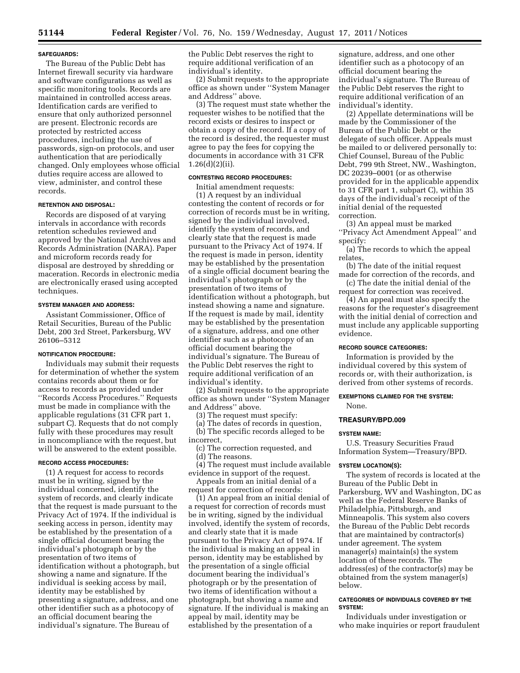#### **SAFEGUARDS:**

The Bureau of the Public Debt has Internet firewall security via hardware and software configurations as well as specific monitoring tools. Records are maintained in controlled access areas. Identification cards are verified to ensure that only authorized personnel are present. Electronic records are protected by restricted access procedures, including the use of passwords, sign-on protocols, and user authentication that are periodically changed. Only employees whose official duties require access are allowed to view, administer, and control these records.

# **RETENTION AND DISPOSAL:**

Records are disposed of at varying intervals in accordance with records retention schedules reviewed and approved by the National Archives and Records Administration (NARA). Paper and microform records ready for disposal are destroyed by shredding or maceration. Records in electronic media are electronically erased using accepted techniques.

## **SYSTEM MANAGER AND ADDRESS:**

Assistant Commissioner, Office of Retail Securities, Bureau of the Public Debt, 200 3rd Street, Parkersburg, WV 26106–5312

#### **NOTIFICATION PROCEDURE:**

Individuals may submit their requests for determination of whether the system contains records about them or for access to records as provided under ''Records Access Procedures.'' Requests must be made in compliance with the applicable regulations (31 CFR part 1, subpart C). Requests that do not comply fully with these procedures may result in noncompliance with the request, but will be answered to the extent possible.

## **RECORD ACCESS PROCEDURES:**

(1) A request for access to records must be in writing, signed by the individual concerned, identify the system of records, and clearly indicate that the request is made pursuant to the Privacy Act of 1974. If the individual is seeking access in person, identity may be established by the presentation of a single official document bearing the individual's photograph or by the presentation of two items of identification without a photograph, but showing a name and signature. If the individual is seeking access by mail, identity may be established by presenting a signature, address, and one other identifier such as a photocopy of an official document bearing the individual's signature. The Bureau of

the Public Debt reserves the right to require additional verification of an individual's identity.

(2) Submit requests to the appropriate office as shown under ''System Manager and Address'' above.

(3) The request must state whether the requester wishes to be notified that the record exists or desires to inspect or obtain a copy of the record. If a copy of the record is desired, the requester must agree to pay the fees for copying the documents in accordance with 31 CFR 1.26(d)(2)(ii).

# **CONTESTING RECORD PROCEDURES:**

Initial amendment requests: (1) A request by an individual contesting the content of records or for correction of records must be in writing, signed by the individual involved, identify the system of records, and clearly state that the request is made pursuant to the Privacy Act of 1974. If the request is made in person, identity may be established by the presentation of a single official document bearing the individual's photograph or by the presentation of two items of identification without a photograph, but instead showing a name and signature. If the request is made by mail, identity may be established by the presentation of a signature, address, and one other identifier such as a photocopy of an official document bearing the individual's signature. The Bureau of the Public Debt reserves the right to require additional verification of an individual's identity.

(2) Submit requests to the appropriate office as shown under ''System Manager and Address'' above.

(3) The request must specify:

(a) The dates of records in question, (b) The specific records alleged to be incorrect,

(c) The correction requested, and (d) The reasons.

(4) The request must include available evidence in support of the request.

Appeals from an initial denial of a request for correction of records:

(1) An appeal from an initial denial of a request for correction of records must be in writing, signed by the individual involved, identify the system of records, and clearly state that it is made pursuant to the Privacy Act of 1974. If the individual is making an appeal in person, identity may be established by the presentation of a single official document bearing the individual's photograph or by the presentation of two items of identification without a photograph, but showing a name and signature. If the individual is making an appeal by mail, identity may be established by the presentation of a

signature, address, and one other identifier such as a photocopy of an official document bearing the individual's signature. The Bureau of the Public Debt reserves the right to require additional verification of an individual's identity.

(2) Appellate determinations will be made by the Commissioner of the Bureau of the Public Debt or the delegate of such officer. Appeals must be mailed to or delivered personally to: Chief Counsel, Bureau of the Public Debt, 799 9th Street, NW., Washington, DC 20239–0001 (or as otherwise provided for in the applicable appendix to 31 CFR part 1, subpart C), within 35 days of the individual's receipt of the initial denial of the requested correction.

(3) An appeal must be marked ''Privacy Act Amendment Appeal'' and specify:

(a) The records to which the appeal relates,

(b) The date of the initial request made for correction of the records, and

(c) The date the initial denial of the request for correction was received.

(4) An appeal must also specify the reasons for the requester's disagreement with the initial denial of correction and must include any applicable supporting evidence.

## **RECORD SOURCE CATEGORIES:**

Information is provided by the individual covered by this system of records or, with their authorization, is derived from other systems of records.

## **EXEMPTIONS CLAIMED FOR THE SYSTEM:**  None.

#### **TREASURY/BPD.009**

#### **SYSTEM NAME:**

U.S. Treasury Securities Fraud Information System—Treasury/BPD.

#### **SYSTEM LOCATION(S):**

The system of records is located at the Bureau of the Public Debt in Parkersburg, WV and Washington, DC as well as the Federal Reserve Banks of Philadelphia, Pittsburgh, and Minneapolis. This system also covers the Bureau of the Public Debt records that are maintained by contractor(s) under agreement. The system manager(s) maintain(s) the system location of these records. The address(es) of the contractor(s) may be obtained from the system manager(s) below.

## **CATEGORIES OF INDIVIDUALS COVERED BY THE SYSTEM:**

Individuals under investigation or who make inquiries or report fraudulent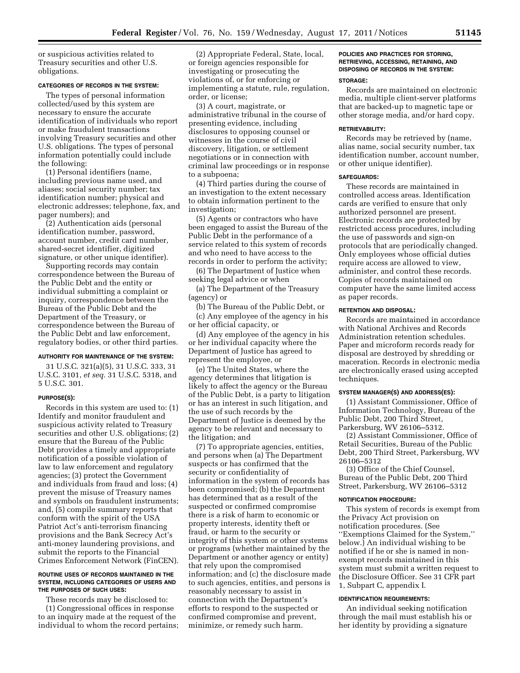or suspicious activities related to Treasury securities and other U.S. obligations.

## **CATEGORIES OF RECORDS IN THE SYSTEM:**

The types of personal information collected/used by this system are necessary to ensure the accurate identification of individuals who report or make fraudulent transactions involving Treasury securities and other U.S. obligations. The types of personal information potentially could include the following:

(1) Personal identifiers (name, including previous name used, and aliases; social security number; tax identification number; physical and electronic addresses; telephone, fax, and pager numbers); and

(2) Authentication aids (personal identification number, password, account number, credit card number, shared-secret identifier, digitized signature, or other unique identifier).

Supporting records may contain correspondence between the Bureau of the Public Debt and the entity or individual submitting a complaint or inquiry, correspondence between the Bureau of the Public Debt and the Department of the Treasury, or correspondence between the Bureau of the Public Debt and law enforcement, regulatory bodies, or other third parties.

#### **AUTHORITY FOR MAINTENANCE OF THE SYSTEM:**

31 U.S.C. 321(a)(5), 31 U.S.C. 333, 31 U.S.C. 3101, *et seq.* 31 U.S.C. 5318, and 5 U.S.C. 301.

#### **PURPOSE(S):**

Records in this system are used to: (1) Identify and monitor fraudulent and suspicious activity related to Treasury securities and other U.S. obligations; (2) ensure that the Bureau of the Public Debt provides a timely and appropriate notification of a possible violation of law to law enforcement and regulatory agencies; (3) protect the Government and individuals from fraud and loss; (4) prevent the misuse of Treasury names and symbols on fraudulent instruments; and, (5) compile summary reports that conform with the spirit of the USA Patriot Act's anti-terrorism financing provisions and the Bank Secrecy Act's anti-money laundering provisions, and submit the reports to the Financial Crimes Enforcement Network (FinCEN).

#### **ROUTINE USES OF RECORDS MAINTAINED IN THE SYSTEM, INCLUDING CATEGORIES OF USERS AND THE PURPOSES OF SUCH USES:**

These records may be disclosed to:

(1) Congressional offices in response to an inquiry made at the request of the individual to whom the record pertains;

(2) Appropriate Federal, State, local, or foreign agencies responsible for investigating or prosecuting the violations of, or for enforcing or implementing a statute, rule, regulation, order, or license;

(3) A court, magistrate, or administrative tribunal in the course of presenting evidence, including disclosures to opposing counsel or witnesses in the course of civil discovery, litigation, or settlement negotiations or in connection with criminal law proceedings or in response to a subpoena;

(4) Third parties during the course of an investigation to the extent necessary to obtain information pertinent to the investigation;

(5) Agents or contractors who have been engaged to assist the Bureau of the Public Debt in the performance of a service related to this system of records and who need to have access to the records in order to perform the activity;

(6) The Department of Justice when seeking legal advice or when

(a) The Department of the Treasury (agency) or

(b) The Bureau of the Public Debt, or

(c) Any employee of the agency in his or her official capacity, or

(d) Any employee of the agency in his or her individual capacity where the Department of Justice has agreed to represent the employee, or

(e) The United States, where the agency determines that litigation is likely to affect the agency or the Bureau of the Public Debt, is a party to litigation or has an interest in such litigation, and the use of such records by the Department of Justice is deemed by the agency to be relevant and necessary to the litigation; and

(7) To appropriate agencies, entities, and persons when (a) The Department suspects or has confirmed that the security or confidentiality of information in the system of records has been compromised; (b) the Department has determined that as a result of the suspected or confirmed compromise there is a risk of harm to economic or property interests, identity theft or fraud, or harm to the security or integrity of this system or other systems or programs (whether maintained by the Department or another agency or entity) that rely upon the compromised information; and (c) the disclosure made to such agencies, entities, and persons is reasonably necessary to assist in connection with the Department's efforts to respond to the suspected or confirmed compromise and prevent, minimize, or remedy such harm.

# **POLICIES AND PRACTICES FOR STORING, RETRIEVING, ACCESSING, RETAINING, AND DISPOSING OF RECORDS IN THE SYSTEM:**

# **STORAGE:**

Records are maintained on electronic media, multiple client-server platforms that are backed-up to magnetic tape or other storage media, and/or hard copy.

#### **RETRIEVABILITY:**

Records may be retrieved by (name, alias name, social security number, tax identification number, account number, or other unique identifier).

#### **SAFEGUARDS:**

These records are maintained in controlled access areas. Identification cards are verified to ensure that only authorized personnel are present. Electronic records are protected by restricted access procedures, including the use of passwords and sign-on protocols that are periodically changed. Only employees whose official duties require access are allowed to view, administer, and control these records. Copies of records maintained on computer have the same limited access as paper records.

## **RETENTION AND DISPOSAL:**

Records are maintained in accordance with National Archives and Records Administration retention schedules. Paper and microform records ready for disposal are destroyed by shredding or maceration. Records in electronic media are electronically erased using accepted techniques.

## **SYSTEM MANAGER(S) AND ADDRESS(ES):**

(1) Assistant Commissioner, Office of Information Technology, Bureau of the Public Debt, 200 Third Street, Parkersburg, WV 26106–5312.

(2) Assistant Commissioner, Office of Retail Securities, Bureau of the Public Debt, 200 Third Street, Parkersburg, WV 26106–5312

(3) Office of the Chief Counsel, Bureau of the Public Debt, 200 Third Street, Parkersburg, WV 26106–5312

#### **NOTIFICATION PROCEDURE:**

This system of records is exempt from the Privacy Act provision on notification procedures. (See ''Exemptions Claimed for the System,'' below.) An individual wishing to be notified if he or she is named in nonexempt records maintained in this system must submit a written request to the Disclosure Officer. See 31 CFR part 1, Subpart C, appendix I.

## **IDENTIFICATION REQUIREMENTS:**

An individual seeking notification through the mail must establish his or her identity by providing a signature